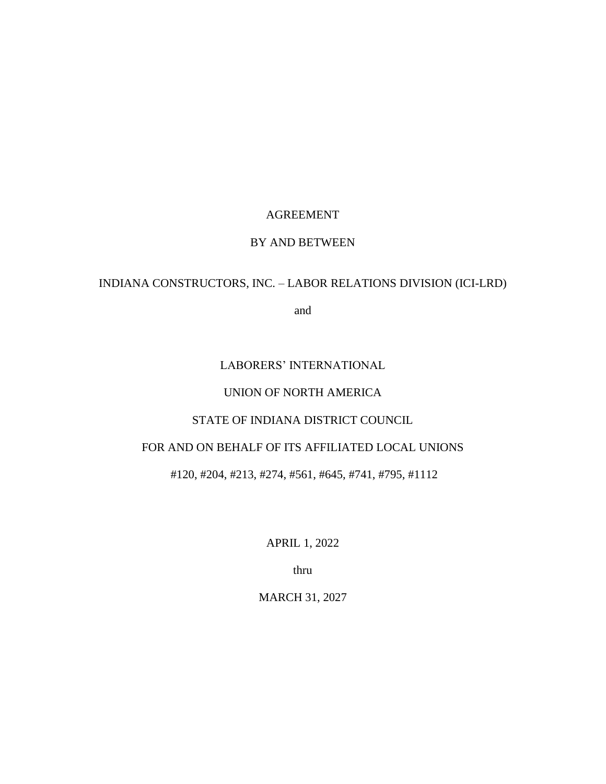# AGREEMENT

# BY AND BETWEEN

# INDIANA CONSTRUCTORS, INC. – LABOR RELATIONS DIVISION (ICI-LRD)

and

# LABORERS' INTERNATIONAL

# UNION OF NORTH AMERICA

# STATE OF INDIANA DISTRICT COUNCIL

# FOR AND ON BEHALF OF ITS AFFILIATED LOCAL UNIONS

# #120, #204, #213, #274, #561, #645, #741, #795, #1112

APRIL 1, 2022

thru

MARCH 31, 2027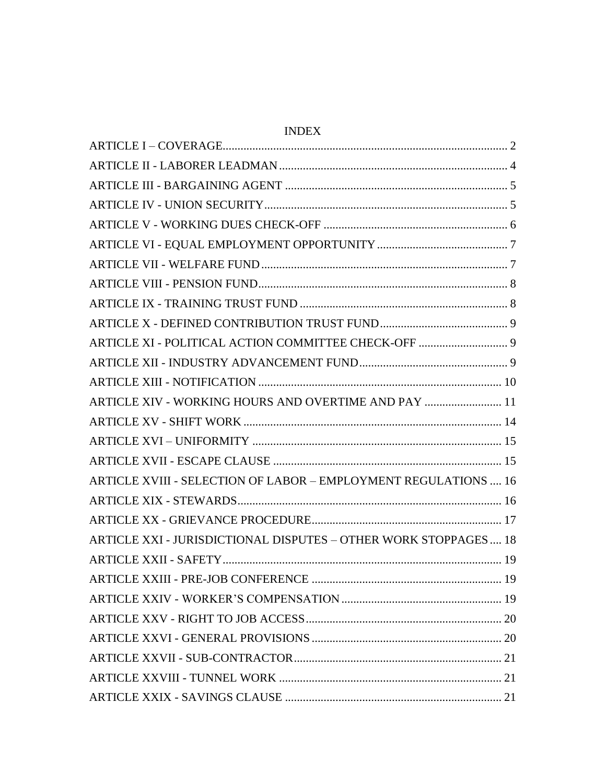| ARTICLE XI - POLITICAL ACTION COMMITTEE CHECK-OFF  9             |  |
|------------------------------------------------------------------|--|
|                                                                  |  |
|                                                                  |  |
| ARTICLE XIV - WORKING HOURS AND OVERTIME AND PAY  11             |  |
|                                                                  |  |
|                                                                  |  |
|                                                                  |  |
| ARTICLE XVIII - SELECTION OF LABOR - EMPLOYMENT REGULATIONS  16  |  |
|                                                                  |  |
|                                                                  |  |
| ARTICLE XXI - JURISDICTIONAL DISPUTES - OTHER WORK STOPPAGES  18 |  |
|                                                                  |  |
|                                                                  |  |
|                                                                  |  |
|                                                                  |  |
|                                                                  |  |
|                                                                  |  |
|                                                                  |  |
|                                                                  |  |
|                                                                  |  |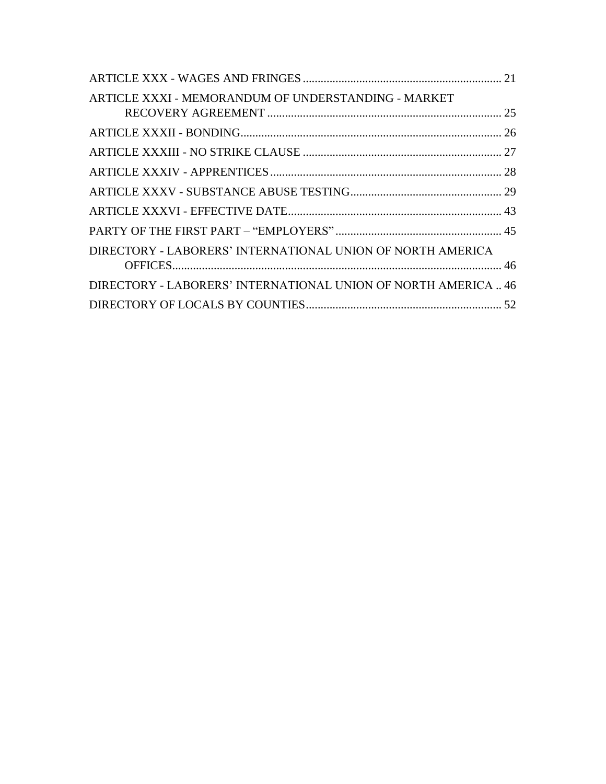| ARTICLE XXXI - MEMORANDUM OF UNDERSTANDING - MARKET            |  |
|----------------------------------------------------------------|--|
|                                                                |  |
|                                                                |  |
|                                                                |  |
|                                                                |  |
|                                                                |  |
|                                                                |  |
|                                                                |  |
| DIRECTORY - LABORERS' INTERNATIONAL UNION OF NORTH AMERICA     |  |
| DIRECTORY - LABORERS' INTERNATIONAL UNION OF NORTH AMERICA  46 |  |
|                                                                |  |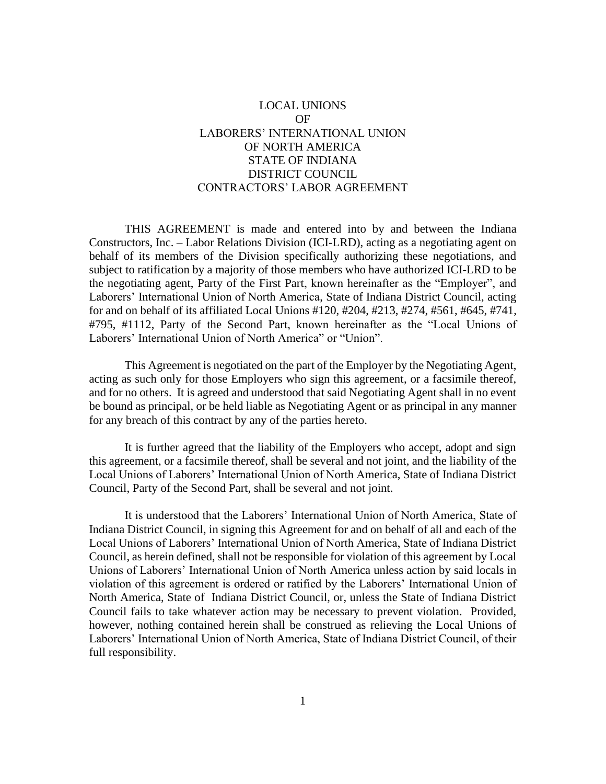# LOCAL UNIONS OF LABORERS' INTERNATIONAL UNION OF NORTH AMERICA STATE OF INDIANA DISTRICT COUNCIL CONTRACTORS' LABOR AGREEMENT

THIS AGREEMENT is made and entered into by and between the Indiana Constructors, Inc. – Labor Relations Division (ICI-LRD), acting as a negotiating agent on behalf of its members of the Division specifically authorizing these negotiations, and subject to ratification by a majority of those members who have authorized ICI-LRD to be the negotiating agent, Party of the First Part, known hereinafter as the "Employer", and Laborers' International Union of North America, State of Indiana District Council, acting for and on behalf of its affiliated Local Unions #120, #204, #213, #274, #561, #645, #741, #795, #1112, Party of the Second Part, known hereinafter as the "Local Unions of Laborers' International Union of North America" or "Union".

This Agreement is negotiated on the part of the Employer by the Negotiating Agent, acting as such only for those Employers who sign this agreement, or a facsimile thereof, and for no others. It is agreed and understood that said Negotiating Agent shall in no event be bound as principal, or be held liable as Negotiating Agent or as principal in any manner for any breach of this contract by any of the parties hereto.

It is further agreed that the liability of the Employers who accept, adopt and sign this agreement, or a facsimile thereof, shall be several and not joint, and the liability of the Local Unions of Laborers' International Union of North America, State of Indiana District Council, Party of the Second Part, shall be several and not joint.

It is understood that the Laborers' International Union of North America, State of Indiana District Council, in signing this Agreement for and on behalf of all and each of the Local Unions of Laborers' International Union of North America, State of Indiana District Council, as herein defined, shall not be responsible for violation of this agreement by Local Unions of Laborers' International Union of North America unless action by said locals in violation of this agreement is ordered or ratified by the Laborers' International Union of North America, State of Indiana District Council, or, unless the State of Indiana District Council fails to take whatever action may be necessary to prevent violation. Provided, however, nothing contained herein shall be construed as relieving the Local Unions of Laborers' International Union of North America, State of Indiana District Council, of their full responsibility.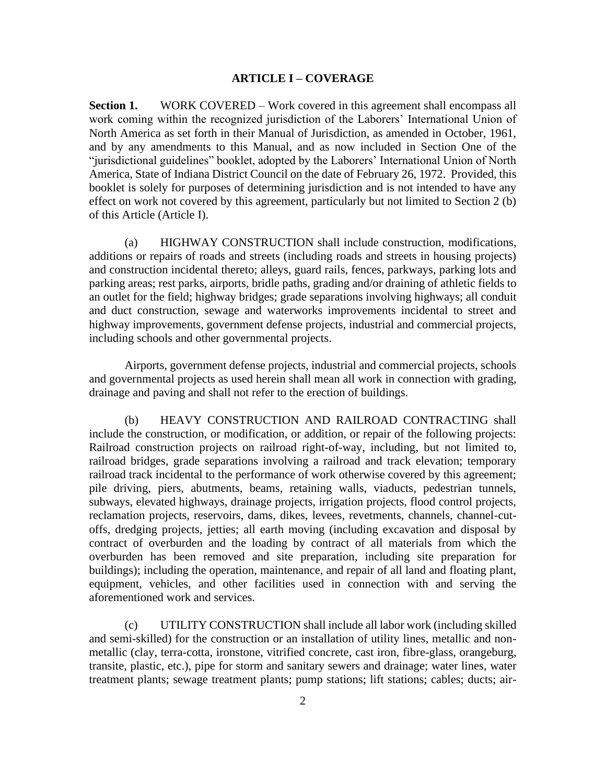### **ARTICLE I – COVERAGE**

<span id="page-4-0"></span>**Section 1.** WORK COVERED – Work covered in this agreement shall encompass all work coming within the recognized jurisdiction of the Laborers' International Union of North America as set forth in their Manual of Jurisdiction, as amended in October, 1961, and by any amendments to this Manual, and as now included in Section One of the "jurisdictional guidelines" booklet, adopted by the Laborers' International Union of North America, State of Indiana District Council on the date of February 26, 1972. Provided, this booklet is solely for purposes of determining jurisdiction and is not intended to have any effect on work not covered by this agreement, particularly but not limited to Section 2 (b) of this Article (Article I).

(a) HIGHWAY CONSTRUCTION shall include construction, modifications, additions or repairs of roads and streets (including roads and streets in housing projects) and construction incidental thereto; alleys, guard rails, fences, parkways, parking lots and parking areas; rest parks, airports, bridle paths, grading and/or draining of athletic fields to an outlet for the field; highway bridges; grade separations involving highways; all conduit and duct construction, sewage and waterworks improvements incidental to street and highway improvements, government defense projects, industrial and commercial projects, including schools and other governmental projects.

Airports, government defense projects, industrial and commercial projects, schools and governmental projects as used herein shall mean all work in connection with grading, drainage and paving and shall not refer to the erection of buildings.

(b) HEAVY CONSTRUCTION AND RAILROAD CONTRACTING shall include the construction, or modification, or addition, or repair of the following projects: Railroad construction projects on railroad right-of-way, including, but not limited to, railroad bridges, grade separations involving a railroad and track elevation; temporary railroad track incidental to the performance of work otherwise covered by this agreement; pile driving, piers, abutments, beams, retaining walls, viaducts, pedestrian tunnels, subways, elevated highways, drainage projects, irrigation projects, flood control projects, reclamation projects, reservoirs, dams, dikes, levees, revetments, channels, channel-cutoffs, dredging projects, jetties; all earth moving (including excavation and disposal by contract of overburden and the loading by contract of all materials from which the overburden has been removed and site preparation, including site preparation for buildings); including the operation, maintenance, and repair of all land and floating plant, equipment, vehicles, and other facilities used in connection with and serving the aforementioned work and services.

(c) UTILITY CONSTRUCTION shall include all labor work (including skilled and semi-skilled) for the construction or an installation of utility lines, metallic and nonmetallic (clay, terra-cotta, ironstone, vitrified concrete, cast iron, fibre-glass, orangeburg, transite, plastic, etc.), pipe for storm and sanitary sewers and drainage; water lines, water treatment plants; sewage treatment plants; pump stations; lift stations; cables; ducts; air-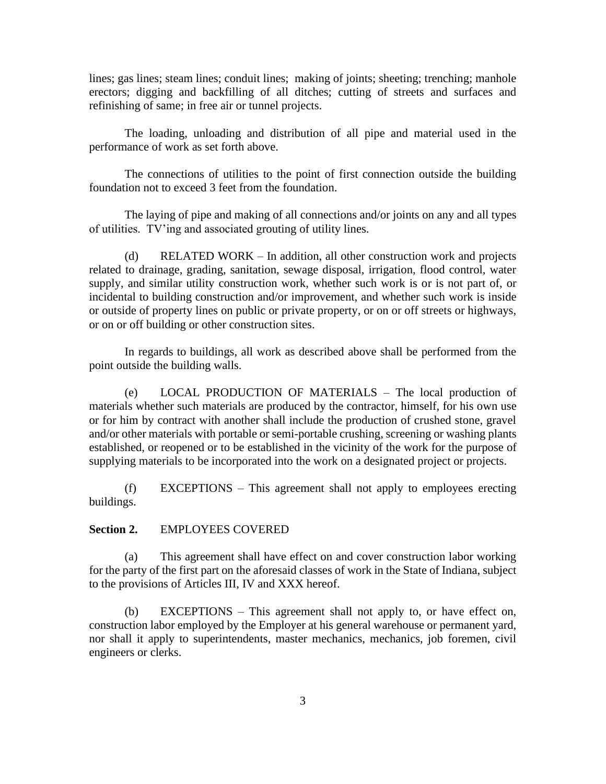lines; gas lines; steam lines; conduit lines; making of joints; sheeting; trenching; manhole erectors; digging and backfilling of all ditches; cutting of streets and surfaces and refinishing of same; in free air or tunnel projects.

The loading, unloading and distribution of all pipe and material used in the performance of work as set forth above.

The connections of utilities to the point of first connection outside the building foundation not to exceed 3 feet from the foundation.

The laying of pipe and making of all connections and/or joints on any and all types of utilities. TV'ing and associated grouting of utility lines.

(d) RELATED WORK – In addition, all other construction work and projects related to drainage, grading, sanitation, sewage disposal, irrigation, flood control, water supply, and similar utility construction work, whether such work is or is not part of, or incidental to building construction and/or improvement, and whether such work is inside or outside of property lines on public or private property, or on or off streets or highways, or on or off building or other construction sites.

In regards to buildings, all work as described above shall be performed from the point outside the building walls.

(e) LOCAL PRODUCTION OF MATERIALS – The local production of materials whether such materials are produced by the contractor, himself, for his own use or for him by contract with another shall include the production of crushed stone, gravel and/or other materials with portable or semi-portable crushing, screening or washing plants established, or reopened or to be established in the vicinity of the work for the purpose of supplying materials to be incorporated into the work on a designated project or projects.

(f) EXCEPTIONS – This agreement shall not apply to employees erecting buildings.

**Section 2.** EMPLOYEES COVERED

(a) This agreement shall have effect on and cover construction labor working for the party of the first part on the aforesaid classes of work in the State of Indiana, subject to the provisions of Articles III, IV and XXX hereof.

(b) EXCEPTIONS – This agreement shall not apply to, or have effect on, construction labor employed by the Employer at his general warehouse or permanent yard, nor shall it apply to superintendents, master mechanics, mechanics, job foremen, civil engineers or clerks.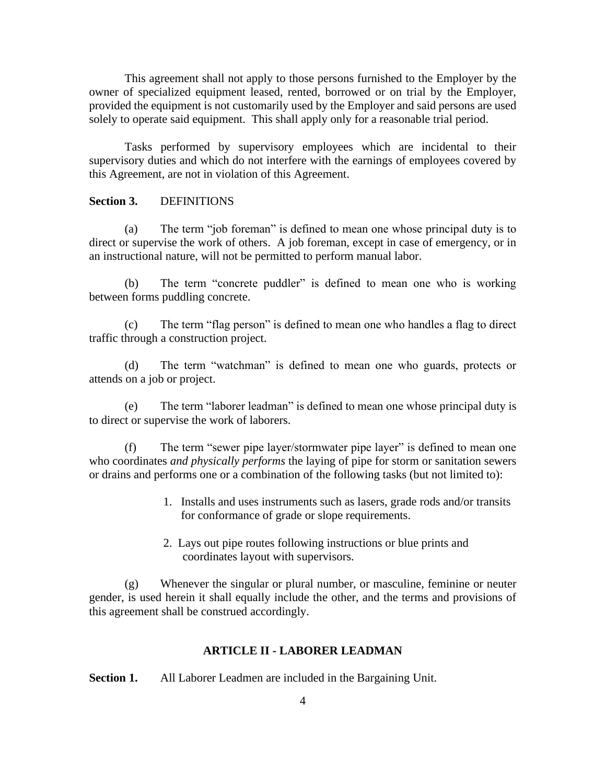This agreement shall not apply to those persons furnished to the Employer by the owner of specialized equipment leased, rented, borrowed or on trial by the Employer, provided the equipment is not customarily used by the Employer and said persons are used solely to operate said equipment. This shall apply only for a reasonable trial period.

Tasks performed by supervisory employees which are incidental to their supervisory duties and which do not interfere with the earnings of employees covered by this Agreement, are not in violation of this Agreement.

## **Section 3.** DEFINITIONS

(a) The term "job foreman" is defined to mean one whose principal duty is to direct or supervise the work of others. A job foreman, except in case of emergency, or in an instructional nature, will not be permitted to perform manual labor.

(b) The term "concrete puddler" is defined to mean one who is working between forms puddling concrete.

(c) The term "flag person" is defined to mean one who handles a flag to direct traffic through a construction project.

(d) The term "watchman" is defined to mean one who guards, protects or attends on a job or project.

(e) The term "laborer leadman" is defined to mean one whose principal duty is to direct or supervise the work of laborers.

(f) The term "sewer pipe layer/stormwater pipe layer" is defined to mean one who coordinates *and physically performs* the laying of pipe for storm or sanitation sewers or drains and performs one or a combination of the following tasks (but not limited to):

- 1. Installs and uses instruments such as lasers, grade rods and/or transits for conformance of grade or slope requirements.
- 2. Lays out pipe routes following instructions or blue prints and coordinates layout with supervisors.

(g) Whenever the singular or plural number, or masculine, feminine or neuter gender, is used herein it shall equally include the other, and the terms and provisions of this agreement shall be construed accordingly.

## **ARTICLE II - LABORER LEADMAN**

<span id="page-6-0"></span>**Section 1.** All Laborer Leadmen are included in the Bargaining Unit.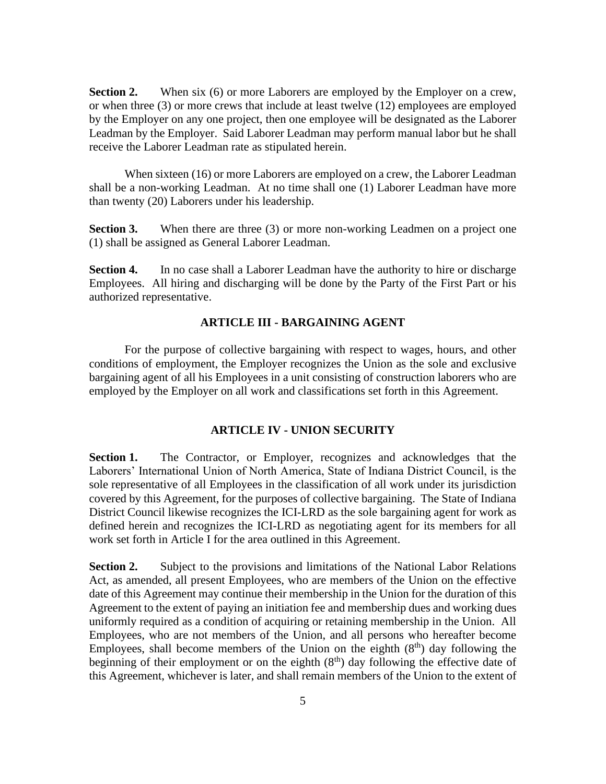**Section 2.** When six (6) or more Laborers are employed by the Employer on a crew, or when three (3) or more crews that include at least twelve (12) employees are employed by the Employer on any one project, then one employee will be designated as the Laborer Leadman by the Employer. Said Laborer Leadman may perform manual labor but he shall receive the Laborer Leadman rate as stipulated herein.

When sixteen (16) or more Laborers are employed on a crew, the Laborer Leadman shall be a non-working Leadman. At no time shall one (1) Laborer Leadman have more than twenty (20) Laborers under his leadership.

**Section 3.** When there are three (3) or more non-working Leadmen on a project one (1) shall be assigned as General Laborer Leadman.

<span id="page-7-0"></span>**Section 4.** In no case shall a Laborer Leadman have the authority to hire or discharge Employees. All hiring and discharging will be done by the Party of the First Part or his authorized representative.

#### **ARTICLE III - BARGAINING AGENT**

For the purpose of collective bargaining with respect to wages, hours, and other conditions of employment, the Employer recognizes the Union as the sole and exclusive bargaining agent of all his Employees in a unit consisting of construction laborers who are employed by the Employer on all work and classifications set forth in this Agreement.

#### **ARTICLE IV - UNION SECURITY**

<span id="page-7-1"></span>**Section 1.** The Contractor, or Employer, recognizes and acknowledges that the Laborers' International Union of North America, State of Indiana District Council, is the sole representative of all Employees in the classification of all work under its jurisdiction covered by this Agreement, for the purposes of collective bargaining. The State of Indiana District Council likewise recognizes the ICI-LRD as the sole bargaining agent for work as defined herein and recognizes the ICI-LRD as negotiating agent for its members for all work set forth in Article I for the area outlined in this Agreement.

**Section 2.** Subject to the provisions and limitations of the National Labor Relations Act, as amended, all present Employees, who are members of the Union on the effective date of this Agreement may continue their membership in the Union for the duration of this Agreement to the extent of paying an initiation fee and membership dues and working dues uniformly required as a condition of acquiring or retaining membership in the Union. All Employees, who are not members of the Union, and all persons who hereafter become Employees, shall become members of the Union on the eighth  $(8<sup>th</sup>)$  day following the beginning of their employment or on the eighth  $(8<sup>th</sup>)$  day following the effective date of this Agreement, whichever is later, and shall remain members of the Union to the extent of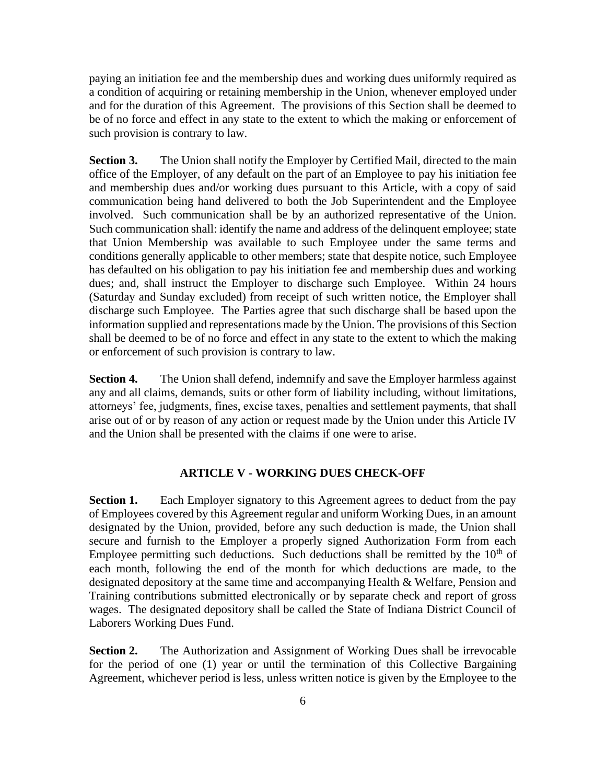paying an initiation fee and the membership dues and working dues uniformly required as a condition of acquiring or retaining membership in the Union, whenever employed under and for the duration of this Agreement. The provisions of this Section shall be deemed to be of no force and effect in any state to the extent to which the making or enforcement of such provision is contrary to law.

**Section 3.** The Union shall notify the Employer by Certified Mail, directed to the main office of the Employer, of any default on the part of an Employee to pay his initiation fee and membership dues and/or working dues pursuant to this Article, with a copy of said communication being hand delivered to both the Job Superintendent and the Employee involved. Such communication shall be by an authorized representative of the Union. Such communication shall: identify the name and address of the delinquent employee; state that Union Membership was available to such Employee under the same terms and conditions generally applicable to other members; state that despite notice, such Employee has defaulted on his obligation to pay his initiation fee and membership dues and working dues; and, shall instruct the Employer to discharge such Employee. Within 24 hours (Saturday and Sunday excluded) from receipt of such written notice, the Employer shall discharge such Employee. The Parties agree that such discharge shall be based upon the information supplied and representations made by the Union. The provisions of this Section shall be deemed to be of no force and effect in any state to the extent to which the making or enforcement of such provision is contrary to law.

**Section 4.** The Union shall defend, indemnify and save the Employer harmless against any and all claims, demands, suits or other form of liability including, without limitations, attorneys' fee, judgments, fines, excise taxes, penalties and settlement payments, that shall arise out of or by reason of any action or request made by the Union under this Article IV and the Union shall be presented with the claims if one were to arise.

### **ARTICLE V - WORKING DUES CHECK-OFF**

<span id="page-8-0"></span>**Section 1.** Each Employer signatory to this Agreement agrees to deduct from the pay of Employees covered by this Agreement regular and uniform Working Dues, in an amount designated by the Union, provided, before any such deduction is made, the Union shall secure and furnish to the Employer a properly signed Authorization Form from each Employee permitting such deductions. Such deductions shall be remitted by the  $10<sup>th</sup>$  of each month, following the end of the month for which deductions are made, to the designated depository at the same time and accompanying Health & Welfare, Pension and Training contributions submitted electronically or by separate check and report of gross wages. The designated depository shall be called the State of Indiana District Council of Laborers Working Dues Fund.

**Section 2.** The Authorization and Assignment of Working Dues shall be irrevocable for the period of one (1) year or until the termination of this Collective Bargaining Agreement, whichever period is less, unless written notice is given by the Employee to the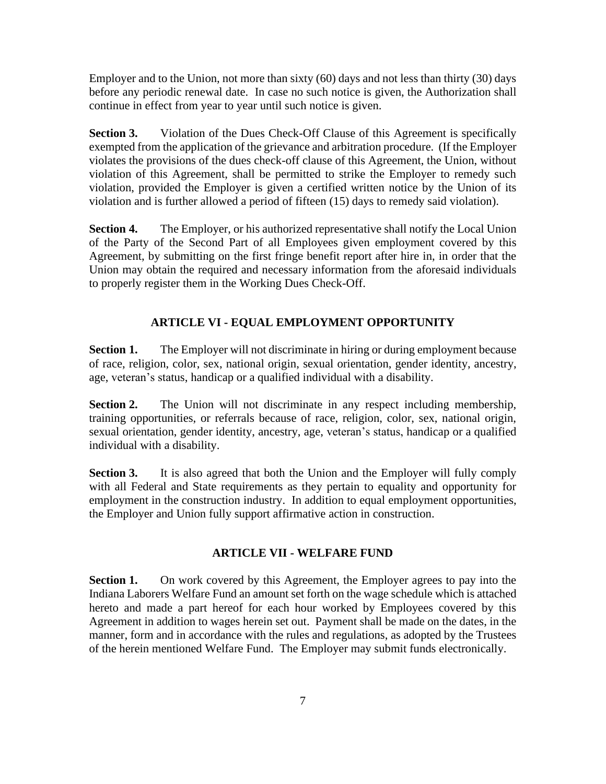Employer and to the Union, not more than sixty (60) days and not less than thirty (30) days before any periodic renewal date. In case no such notice is given, the Authorization shall continue in effect from year to year until such notice is given.

**Section 3.** Violation of the Dues Check-Off Clause of this Agreement is specifically exempted from the application of the grievance and arbitration procedure. (If the Employer violates the provisions of the dues check-off clause of this Agreement, the Union, without violation of this Agreement, shall be permitted to strike the Employer to remedy such violation, provided the Employer is given a certified written notice by the Union of its violation and is further allowed a period of fifteen (15) days to remedy said violation).

**Section 4.** The Employer, or his authorized representative shall notify the Local Union of the Party of the Second Part of all Employees given employment covered by this Agreement, by submitting on the first fringe benefit report after hire in, in order that the Union may obtain the required and necessary information from the aforesaid individuals to properly register them in the Working Dues Check-Off.

### **ARTICLE VI - EQUAL EMPLOYMENT OPPORTUNITY**

<span id="page-9-0"></span>**Section 1.** The Employer will not discriminate in hiring or during employment because of race, religion, color, sex, national origin, sexual orientation, gender identity, ancestry, age, veteran's status, handicap or a qualified individual with a disability.

**Section 2.** The Union will not discriminate in any respect including membership, training opportunities, or referrals because of race, religion, color, sex, national origin, sexual orientation, gender identity, ancestry, age, veteran's status, handicap or a qualified individual with a disability.

**Section 3.** It is also agreed that both the Union and the Employer will fully comply with all Federal and State requirements as they pertain to equality and opportunity for employment in the construction industry. In addition to equal employment opportunities, the Employer and Union fully support affirmative action in construction.

#### **ARTICLE VII - WELFARE FUND**

<span id="page-9-1"></span>**Section 1.** On work covered by this Agreement, the Employer agrees to pay into the Indiana Laborers Welfare Fund an amount set forth on the wage schedule which is attached hereto and made a part hereof for each hour worked by Employees covered by this Agreement in addition to wages herein set out. Payment shall be made on the dates, in the manner, form and in accordance with the rules and regulations, as adopted by the Trustees of the herein mentioned Welfare Fund. The Employer may submit funds electronically.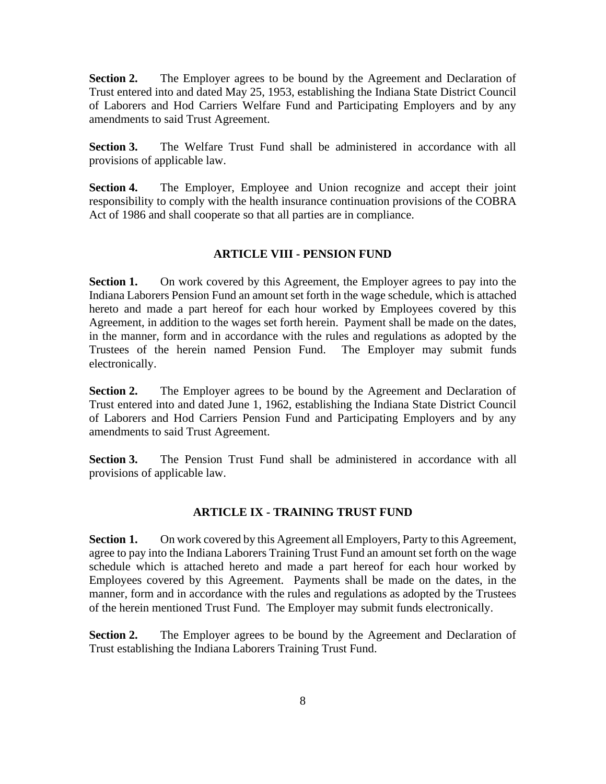**Section 2.** The Employer agrees to be bound by the Agreement and Declaration of Trust entered into and dated May 25, 1953, establishing the Indiana State District Council of Laborers and Hod Carriers Welfare Fund and Participating Employers and by any amendments to said Trust Agreement.

**Section 3.** The Welfare Trust Fund shall be administered in accordance with all provisions of applicable law.

**Section 4.** The Employer, Employee and Union recognize and accept their joint responsibility to comply with the health insurance continuation provisions of the COBRA Act of 1986 and shall cooperate so that all parties are in compliance.

#### **ARTICLE VIII - PENSION FUND**

<span id="page-10-0"></span>**Section 1.** On work covered by this Agreement, the Employer agrees to pay into the Indiana Laborers Pension Fund an amount set forth in the wage schedule, which is attached hereto and made a part hereof for each hour worked by Employees covered by this Agreement, in addition to the wages set forth herein. Payment shall be made on the dates, in the manner, form and in accordance with the rules and regulations as adopted by the Trustees of the herein named Pension Fund. The Employer may submit funds electronically.

**Section 2.** The Employer agrees to be bound by the Agreement and Declaration of Trust entered into and dated June 1, 1962, establishing the Indiana State District Council of Laborers and Hod Carriers Pension Fund and Participating Employers and by any amendments to said Trust Agreement.

<span id="page-10-1"></span>**Section 3.** The Pension Trust Fund shall be administered in accordance with all provisions of applicable law.

## **ARTICLE IX - TRAINING TRUST FUND**

**Section 1.** On work covered by this Agreement all Employers, Party to this Agreement, agree to pay into the Indiana Laborers Training Trust Fund an amount set forth on the wage schedule which is attached hereto and made a part hereof for each hour worked by Employees covered by this Agreement. Payments shall be made on the dates, in the manner, form and in accordance with the rules and regulations as adopted by the Trustees of the herein mentioned Trust Fund. The Employer may submit funds electronically.

**Section 2.** The Employer agrees to be bound by the Agreement and Declaration of Trust establishing the Indiana Laborers Training Trust Fund.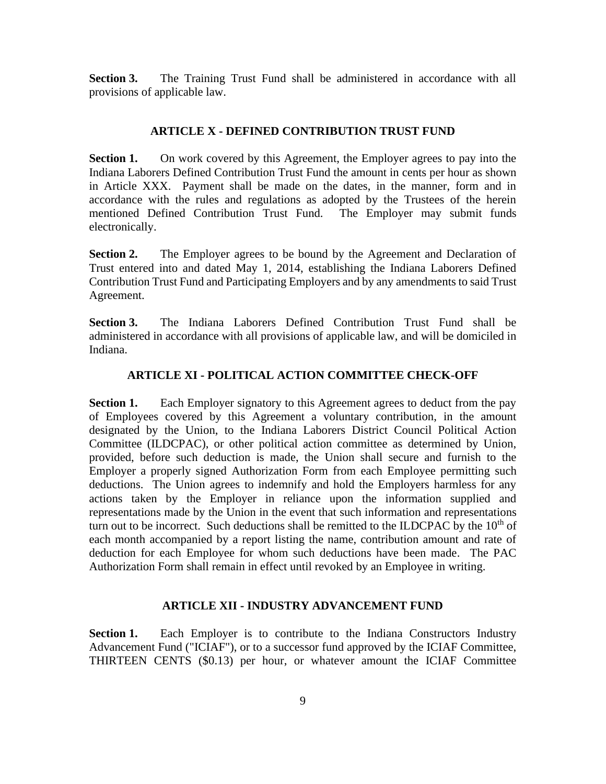<span id="page-11-0"></span>**Section 3.** The Training Trust Fund shall be administered in accordance with all provisions of applicable law.

### **ARTICLE X - DEFINED CONTRIBUTION TRUST FUND**

**Section 1.** On work covered by this Agreement, the Employer agrees to pay into the Indiana Laborers Defined Contribution Trust Fund the amount in cents per hour as shown in Article XXX. Payment shall be made on the dates, in the manner, form and in accordance with the rules and regulations as adopted by the Trustees of the herein mentioned Defined Contribution Trust Fund. The Employer may submit funds electronically.

**Section 2.** The Employer agrees to be bound by the Agreement and Declaration of Trust entered into and dated May 1, 2014, establishing the Indiana Laborers Defined Contribution Trust Fund and Participating Employers and by any amendments to said Trust Agreement.

<span id="page-11-1"></span>**Section 3.** The Indiana Laborers Defined Contribution Trust Fund shall be administered in accordance with all provisions of applicable law, and will be domiciled in Indiana.

# **ARTICLE XI - POLITICAL ACTION COMMITTEE CHECK-OFF**

**Section 1.** Each Employer signatory to this Agreement agrees to deduct from the pay of Employees covered by this Agreement a voluntary contribution, in the amount designated by the Union, to the Indiana Laborers District Council Political Action Committee (ILDCPAC), or other political action committee as determined by Union, provided, before such deduction is made, the Union shall secure and furnish to the Employer a properly signed Authorization Form from each Employee permitting such deductions. The Union agrees to indemnify and hold the Employers harmless for any actions taken by the Employer in reliance upon the information supplied and representations made by the Union in the event that such information and representations turn out to be incorrect. Such deductions shall be remitted to the ILDCPAC by the  $10<sup>th</sup>$  of each month accompanied by a report listing the name, contribution amount and rate of deduction for each Employee for whom such deductions have been made. The PAC Authorization Form shall remain in effect until revoked by an Employee in writing.

## **ARTICLE XII - INDUSTRY ADVANCEMENT FUND**

<span id="page-11-2"></span>**Section 1.** Each Employer is to contribute to the Indiana Constructors Industry Advancement Fund ("ICIAF"), or to a successor fund approved by the ICIAF Committee, THIRTEEN CENTS (\$0.13) per hour, or whatever amount the ICIAF Committee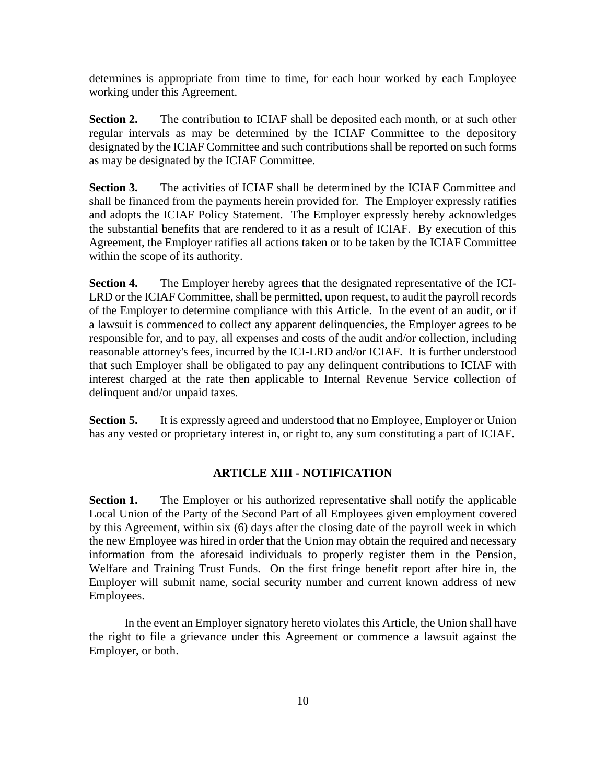determines is appropriate from time to time, for each hour worked by each Employee working under this Agreement.

**Section 2.** The contribution to ICIAF shall be deposited each month, or at such other regular intervals as may be determined by the ICIAF Committee to the depository designated by the ICIAF Committee and such contributions shall be reported on such forms as may be designated by the ICIAF Committee.

**Section 3.** The activities of ICIAF shall be determined by the ICIAF Committee and shall be financed from the payments herein provided for. The Employer expressly ratifies and adopts the ICIAF Policy Statement. The Employer expressly hereby acknowledges the substantial benefits that are rendered to it as a result of ICIAF. By execution of this Agreement, the Employer ratifies all actions taken or to be taken by the ICIAF Committee within the scope of its authority.

**Section 4.** The Employer hereby agrees that the designated representative of the ICI-LRD or the ICIAF Committee, shall be permitted, upon request, to audit the payroll records of the Employer to determine compliance with this Article. In the event of an audit, or if a lawsuit is commenced to collect any apparent delinquencies, the Employer agrees to be responsible for, and to pay, all expenses and costs of the audit and/or collection, including reasonable attorney's fees, incurred by the ICI-LRD and/or ICIAF. It is further understood that such Employer shall be obligated to pay any delinquent contributions to ICIAF with interest charged at the rate then applicable to Internal Revenue Service collection of delinquent and/or unpaid taxes.

<span id="page-12-0"></span>**Section 5.** It is expressly agreed and understood that no Employee, Employer or Union has any vested or proprietary interest in, or right to, any sum constituting a part of ICIAF.

### **ARTICLE XIII - NOTIFICATION**

**Section 1.** The Employer or his authorized representative shall notify the applicable Local Union of the Party of the Second Part of all Employees given employment covered by this Agreement, within six (6) days after the closing date of the payroll week in which the new Employee was hired in order that the Union may obtain the required and necessary information from the aforesaid individuals to properly register them in the Pension, Welfare and Training Trust Funds. On the first fringe benefit report after hire in, the Employer will submit name, social security number and current known address of new Employees.

In the event an Employer signatory hereto violates this Article, the Union shall have the right to file a grievance under this Agreement or commence a lawsuit against the Employer, or both.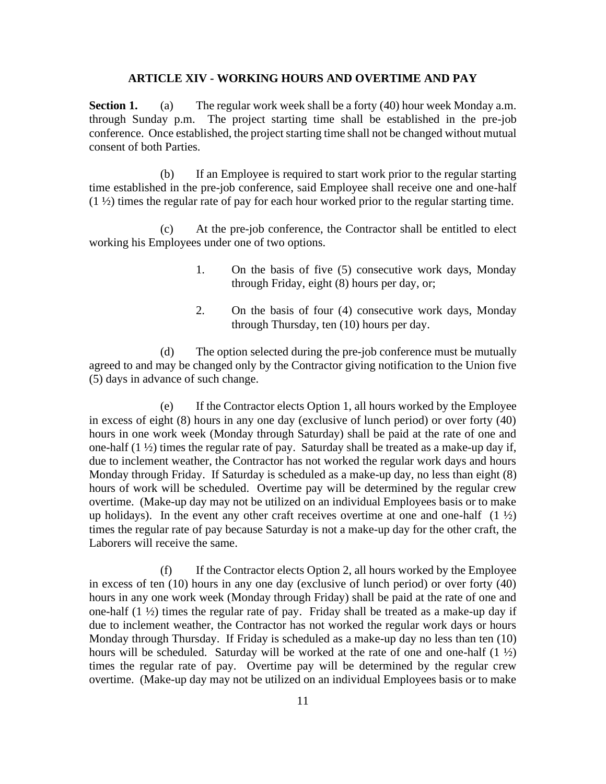#### **ARTICLE XIV - WORKING HOURS AND OVERTIME AND PAY**

<span id="page-13-0"></span>**Section 1.** (a) The regular work week shall be a forty (40) hour week Monday a.m. through Sunday p.m. The project starting time shall be established in the pre-job conference. Once established, the project starting time shall not be changed without mutual consent of both Parties.

(b) If an Employee is required to start work prior to the regular starting time established in the pre-job conference, said Employee shall receive one and one-half  $(1 \frac{1}{2})$  times the regular rate of pay for each hour worked prior to the regular starting time.

(c) At the pre-job conference, the Contractor shall be entitled to elect working his Employees under one of two options.

- 1. On the basis of five (5) consecutive work days, Monday through Friday, eight (8) hours per day, or;
- 2. On the basis of four (4) consecutive work days, Monday through Thursday, ten (10) hours per day.

(d) The option selected during the pre-job conference must be mutually agreed to and may be changed only by the Contractor giving notification to the Union five (5) days in advance of such change.

(e) If the Contractor elects Option 1, all hours worked by the Employee in excess of eight (8) hours in any one day (exclusive of lunch period) or over forty (40) hours in one work week (Monday through Saturday) shall be paid at the rate of one and one-half  $(1 \frac{1}{2})$  times the regular rate of pay. Saturday shall be treated as a make-up day if, due to inclement weather, the Contractor has not worked the regular work days and hours Monday through Friday. If Saturday is scheduled as a make-up day, no less than eight (8) hours of work will be scheduled. Overtime pay will be determined by the regular crew overtime. (Make-up day may not be utilized on an individual Employees basis or to make up holidays). In the event any other craft receives overtime at one and one-half  $(1 \frac{1}{2})$ times the regular rate of pay because Saturday is not a make-up day for the other craft, the Laborers will receive the same.

(f) If the Contractor elects Option 2, all hours worked by the Employee in excess of ten (10) hours in any one day (exclusive of lunch period) or over forty (40) hours in any one work week (Monday through Friday) shall be paid at the rate of one and one-half (1 ½) times the regular rate of pay. Friday shall be treated as a make-up day if due to inclement weather, the Contractor has not worked the regular work days or hours Monday through Thursday. If Friday is scheduled as a make-up day no less than ten (10) hours will be scheduled. Saturday will be worked at the rate of one and one-half  $(1 \frac{1}{2})$ times the regular rate of pay. Overtime pay will be determined by the regular crew overtime. (Make-up day may not be utilized on an individual Employees basis or to make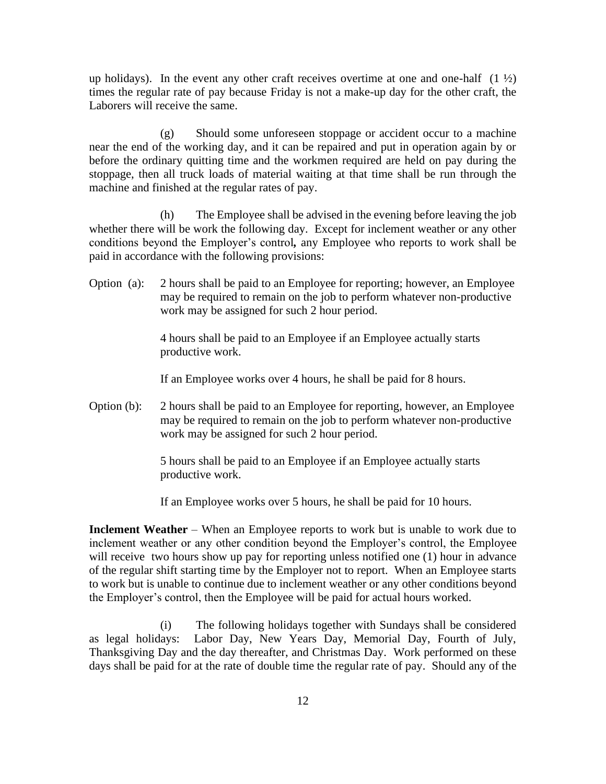up holidays). In the event any other craft receives overtime at one and one-half  $(1 \frac{1}{2})$ times the regular rate of pay because Friday is not a make-up day for the other craft, the Laborers will receive the same.

(g) Should some unforeseen stoppage or accident occur to a machine near the end of the working day, and it can be repaired and put in operation again by or before the ordinary quitting time and the workmen required are held on pay during the stoppage, then all truck loads of material waiting at that time shall be run through the machine and finished at the regular rates of pay.

(h) The Employee shall be advised in the evening before leaving the job whether there will be work the following day. Except for inclement weather or any other conditions beyond the Employer's control*,* any Employee who reports to work shall be paid in accordance with the following provisions:

Option (a): 2 hours shall be paid to an Employee for reporting; however, an Employee may be required to remain on the job to perform whatever non-productive work may be assigned for such 2 hour period.

> 4 hours shall be paid to an Employee if an Employee actually starts productive work.

If an Employee works over 4 hours, he shall be paid for 8 hours.

Option (b): 2 hours shall be paid to an Employee for reporting, however, an Employee may be required to remain on the job to perform whatever non-productive work may be assigned for such 2 hour period.

> 5 hours shall be paid to an Employee if an Employee actually starts productive work.

If an Employee works over 5 hours, he shall be paid for 10 hours.

**Inclement Weather** – When an Employee reports to work but is unable to work due to inclement weather or any other condition beyond the Employer's control, the Employee will receive two hours show up pay for reporting unless notified one (1) hour in advance of the regular shift starting time by the Employer not to report. When an Employee starts to work but is unable to continue due to inclement weather or any other conditions beyond the Employer's control, then the Employee will be paid for actual hours worked.

(i) The following holidays together with Sundays shall be considered as legal holidays: Labor Day, New Years Day, Memorial Day, Fourth of July, Thanksgiving Day and the day thereafter, and Christmas Day. Work performed on these days shall be paid for at the rate of double time the regular rate of pay. Should any of the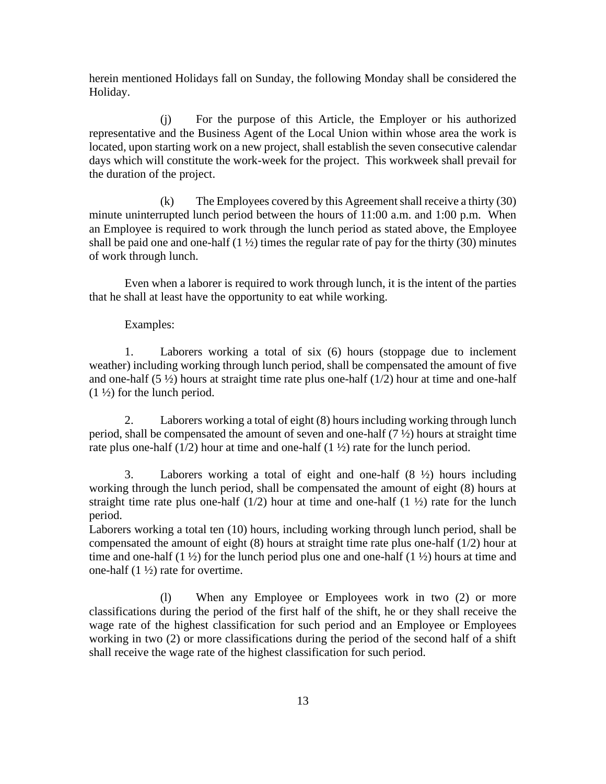herein mentioned Holidays fall on Sunday, the following Monday shall be considered the Holiday.

(j) For the purpose of this Article, the Employer or his authorized representative and the Business Agent of the Local Union within whose area the work is located, upon starting work on a new project, shall establish the seven consecutive calendar days which will constitute the work-week for the project. This workweek shall prevail for the duration of the project.

(k) The Employees covered by this Agreement shall receive a thirty (30) minute uninterrupted lunch period between the hours of 11:00 a.m. and 1:00 p.m. When an Employee is required to work through the lunch period as stated above, the Employee shall be paid one and one-half  $(1 \frac{1}{2})$  times the regular rate of pay for the thirty (30) minutes of work through lunch.

Even when a laborer is required to work through lunch, it is the intent of the parties that he shall at least have the opportunity to eat while working.

#### Examples:

1. Laborers working a total of six (6) hours (stoppage due to inclement weather) including working through lunch period, shall be compensated the amount of five and one-half  $(5 \frac{1}{2})$  hours at straight time rate plus one-half  $(1/2)$  hour at time and one-half  $(1 \frac{1}{2})$  for the lunch period.

2. Laborers working a total of eight (8) hours including working through lunch period, shall be compensated the amount of seven and one-half (7 ½) hours at straight time rate plus one-half  $(1/2)$  hour at time and one-half  $(1\frac{1}{2})$  rate for the lunch period.

3. Laborers working a total of eight and one-half  $(8 \frac{1}{2})$  hours including working through the lunch period, shall be compensated the amount of eight (8) hours at straight time rate plus one-half  $(1/2)$  hour at time and one-half  $(1 \frac{1}{2})$  rate for the lunch period.

Laborers working a total ten (10) hours, including working through lunch period, shall be compensated the amount of eight (8) hours at straight time rate plus one-half (1/2) hour at time and one-half  $(1 \frac{1}{2})$  for the lunch period plus one and one-half  $(1 \frac{1}{2})$  hours at time and one-half (1 ½) rate for overtime.

(l) When any Employee or Employees work in two (2) or more classifications during the period of the first half of the shift, he or they shall receive the wage rate of the highest classification for such period and an Employee or Employees working in two (2) or more classifications during the period of the second half of a shift shall receive the wage rate of the highest classification for such period.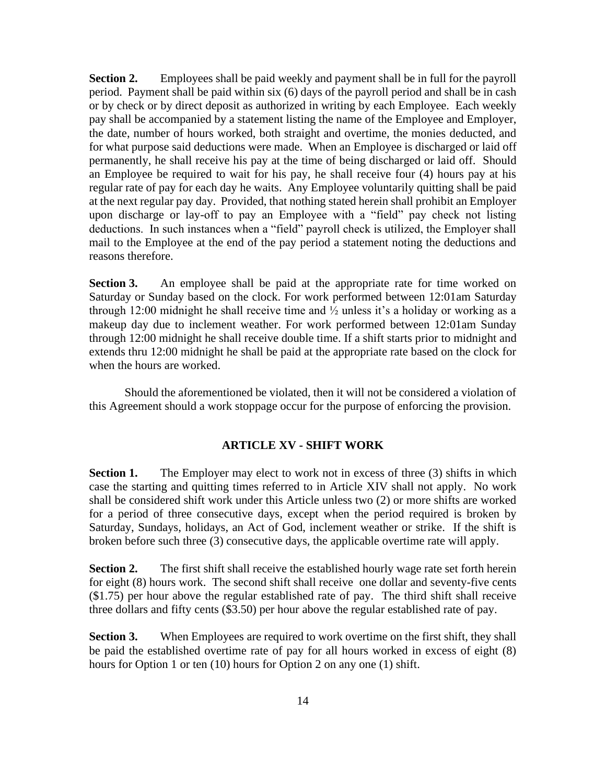**Section 2.** Employees shall be paid weekly and payment shall be in full for the payroll period. Payment shall be paid within six (6) days of the payroll period and shall be in cash or by check or by direct deposit as authorized in writing by each Employee. Each weekly pay shall be accompanied by a statement listing the name of the Employee and Employer, the date, number of hours worked, both straight and overtime, the monies deducted, and for what purpose said deductions were made. When an Employee is discharged or laid off permanently, he shall receive his pay at the time of being discharged or laid off. Should an Employee be required to wait for his pay, he shall receive four (4) hours pay at his regular rate of pay for each day he waits. Any Employee voluntarily quitting shall be paid at the next regular pay day. Provided, that nothing stated herein shall prohibit an Employer upon discharge or lay-off to pay an Employee with a "field" pay check not listing deductions. In such instances when a "field" payroll check is utilized, the Employer shall mail to the Employee at the end of the pay period a statement noting the deductions and reasons therefore.

**Section 3.** An employee shall be paid at the appropriate rate for time worked on Saturday or Sunday based on the clock. For work performed between 12:01am Saturday through 12:00 midnight he shall receive time and  $\frac{1}{2}$  unless it's a holiday or working as a makeup day due to inclement weather. For work performed between 12:01am Sunday through 12:00 midnight he shall receive double time. If a shift starts prior to midnight and extends thru 12:00 midnight he shall be paid at the appropriate rate based on the clock for when the hours are worked.

<span id="page-16-0"></span>Should the aforementioned be violated, then it will not be considered a violation of this Agreement should a work stoppage occur for the purpose of enforcing the provision.

#### **ARTICLE XV - SHIFT WORK**

**Section 1.** The Employer may elect to work not in excess of three (3) shifts in which case the starting and quitting times referred to in Article XIV shall not apply. No work shall be considered shift work under this Article unless two (2) or more shifts are worked for a period of three consecutive days, except when the period required is broken by Saturday, Sundays, holidays, an Act of God, inclement weather or strike. If the shift is broken before such three (3) consecutive days, the applicable overtime rate will apply.

**Section 2.** The first shift shall receive the established hourly wage rate set forth herein for eight (8) hours work. The second shift shall receive one dollar and seventy-five cents (\$1.75) per hour above the regular established rate of pay. The third shift shall receive three dollars and fifty cents (\$3.50) per hour above the regular established rate of pay.

**Section 3.** When Employees are required to work overtime on the first shift, they shall be paid the established overtime rate of pay for all hours worked in excess of eight (8) hours for Option 1 or ten (10) hours for Option 2 on any one (1) shift.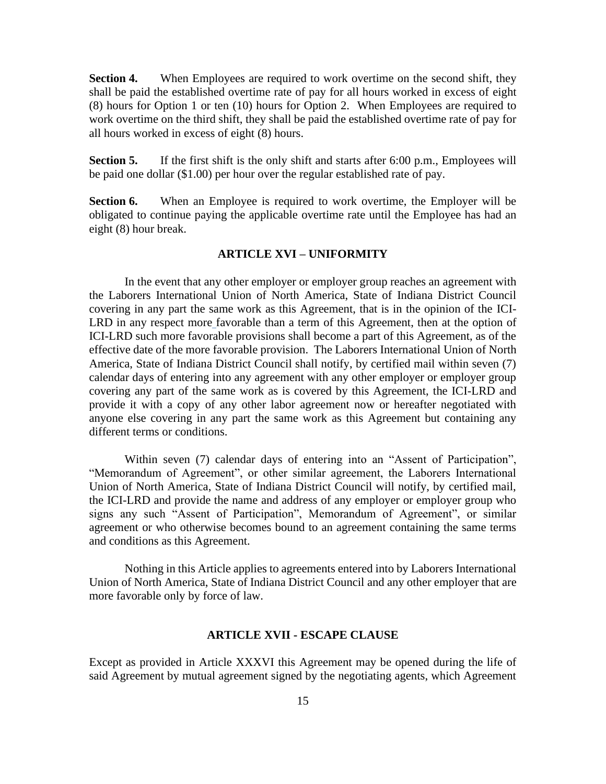**Section 4.** When Employees are required to work overtime on the second shift, they shall be paid the established overtime rate of pay for all hours worked in excess of eight (8) hours for Option 1 or ten (10) hours for Option 2. When Employees are required to work overtime on the third shift, they shall be paid the established overtime rate of pay for all hours worked in excess of eight (8) hours.

**Section 5.** If the first shift is the only shift and starts after 6:00 p.m., Employees will be paid one dollar (\$1.00) per hour over the regular established rate of pay.

<span id="page-17-0"></span>**Section 6.** When an Employee is required to work overtime, the Employer will be obligated to continue paying the applicable overtime rate until the Employee has had an eight (8) hour break.

#### **ARTICLE XVI – UNIFORMITY**

In the event that any other employer or employer group reaches an agreement with the Laborers International Union of North America, State of Indiana District Council covering in any part the same work as this Agreement, that is in the opinion of the ICI-LRD in any respect more favorable than a term of this Agreement, then at the option of ICI-LRD such more favorable provisions shall become a part of this Agreement, as of the effective date of the more favorable provision. The Laborers International Union of North America, State of Indiana District Council shall notify, by certified mail within seven (7) calendar days of entering into any agreement with any other employer or employer group covering any part of the same work as is covered by this Agreement, the ICI-LRD and provide it with a copy of any other labor agreement now or hereafter negotiated with anyone else covering in any part the same work as this Agreement but containing any different terms or conditions.

Within seven (7) calendar days of entering into an "Assent of Participation", "Memorandum of Agreement", or other similar agreement, the Laborers International Union of North America, State of Indiana District Council will notify, by certified mail, the ICI-LRD and provide the name and address of any employer or employer group who signs any such "Assent of Participation", Memorandum of Agreement", or similar agreement or who otherwise becomes bound to an agreement containing the same terms and conditions as this Agreement.

Nothing in this Article applies to agreements entered into by Laborers International Union of North America, State of Indiana District Council and any other employer that are more favorable only by force of law.

#### **ARTICLE XVII - ESCAPE CLAUSE**

<span id="page-17-1"></span>Except as provided in Article XXXVI this Agreement may be opened during the life of said Agreement by mutual agreement signed by the negotiating agents, which Agreement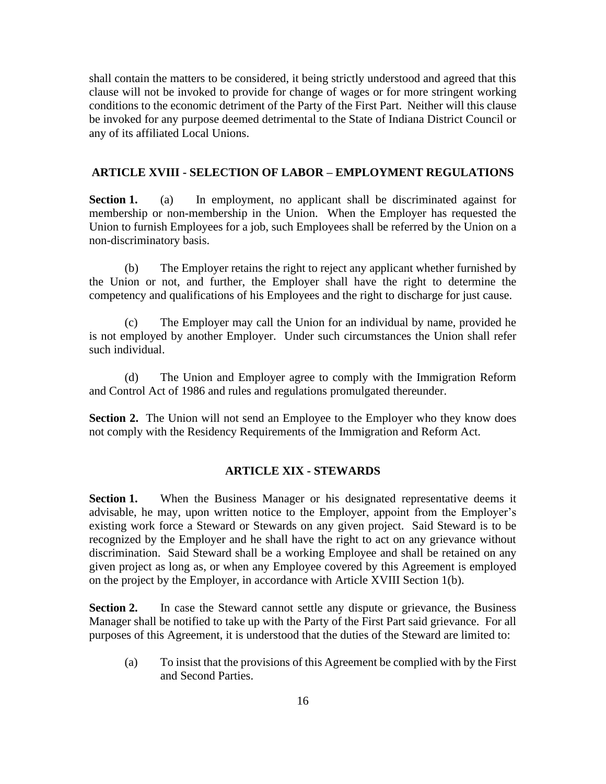shall contain the matters to be considered, it being strictly understood and agreed that this clause will not be invoked to provide for change of wages or for more stringent working conditions to the economic detriment of the Party of the First Part. Neither will this clause be invoked for any purpose deemed detrimental to the State of Indiana District Council or any of its affiliated Local Unions.

## <span id="page-18-0"></span>**ARTICLE XVIII - SELECTION OF LABOR – EMPLOYMENT REGULATIONS**

**Section 1.** (a) In employment, no applicant shall be discriminated against for membership or non-membership in the Union. When the Employer has requested the Union to furnish Employees for a job, such Employees shall be referred by the Union on a non-discriminatory basis.

(b) The Employer retains the right to reject any applicant whether furnished by the Union or not, and further, the Employer shall have the right to determine the competency and qualifications of his Employees and the right to discharge for just cause.

(c) The Employer may call the Union for an individual by name, provided he is not employed by another Employer. Under such circumstances the Union shall refer such individual.

(d) The Union and Employer agree to comply with the Immigration Reform and Control Act of 1986 and rules and regulations promulgated thereunder.

<span id="page-18-1"></span>**Section 2.** The Union will not send an Employee to the Employer who they know does not comply with the Residency Requirements of the Immigration and Reform Act.

#### **ARTICLE XIX - STEWARDS**

**Section 1.** When the Business Manager or his designated representative deems it advisable, he may, upon written notice to the Employer, appoint from the Employer's existing work force a Steward or Stewards on any given project. Said Steward is to be recognized by the Employer and he shall have the right to act on any grievance without discrimination. Said Steward shall be a working Employee and shall be retained on any given project as long as, or when any Employee covered by this Agreement is employed on the project by the Employer, in accordance with Article XVIII Section 1(b).

**Section 2.** In case the Steward cannot settle any dispute or grievance, the Business Manager shall be notified to take up with the Party of the First Part said grievance. For all purposes of this Agreement, it is understood that the duties of the Steward are limited to:

(a) To insist that the provisions of this Agreement be complied with by the First and Second Parties.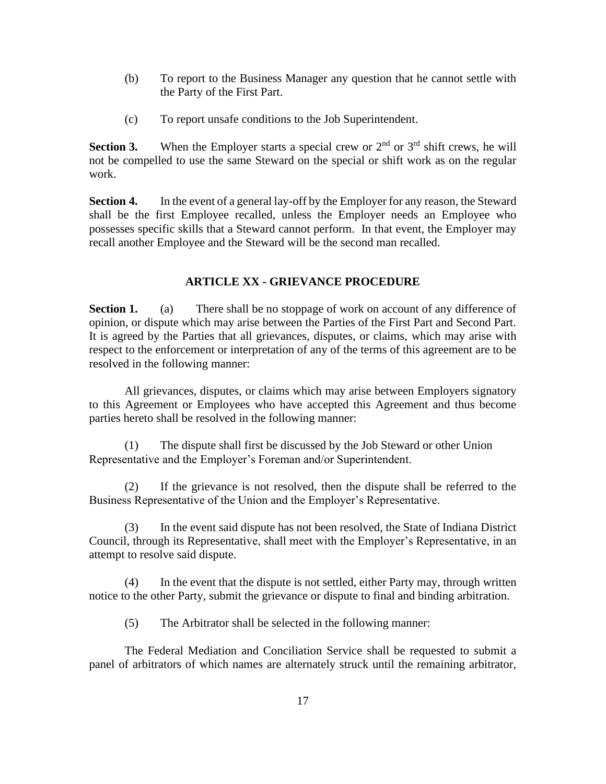- (b) To report to the Business Manager any question that he cannot settle with the Party of the First Part.
- (c) To report unsafe conditions to the Job Superintendent.

**Section 3.** When the Employer starts a special crew or  $2<sup>nd</sup>$  or  $3<sup>rd</sup>$  shift crews, he will not be compelled to use the same Steward on the special or shift work as on the regular work.

**Section 4.** In the event of a general lay-off by the Employer for any reason, the Steward shall be the first Employee recalled, unless the Employer needs an Employee who possesses specific skills that a Steward cannot perform. In that event, the Employer may recall another Employee and the Steward will be the second man recalled.

#### **ARTICLE XX - GRIEVANCE PROCEDURE**

<span id="page-19-0"></span>**Section 1.** (a) There shall be no stoppage of work on account of any difference of opinion, or dispute which may arise between the Parties of the First Part and Second Part. It is agreed by the Parties that all grievances, disputes, or claims, which may arise with respect to the enforcement or interpretation of any of the terms of this agreement are to be resolved in the following manner:

All grievances, disputes, or claims which may arise between Employers signatory to this Agreement or Employees who have accepted this Agreement and thus become parties hereto shall be resolved in the following manner:

(1) The dispute shall first be discussed by the Job Steward or other Union Representative and the Employer's Foreman and/or Superintendent.

(2) If the grievance is not resolved, then the dispute shall be referred to the Business Representative of the Union and the Employer's Representative.

(3) In the event said dispute has not been resolved, the State of Indiana District Council, through its Representative, shall meet with the Employer's Representative, in an attempt to resolve said dispute.

(4) In the event that the dispute is not settled, either Party may, through written notice to the other Party, submit the grievance or dispute to final and binding arbitration.

(5) The Arbitrator shall be selected in the following manner:

The Federal Mediation and Conciliation Service shall be requested to submit a panel of arbitrators of which names are alternately struck until the remaining arbitrator,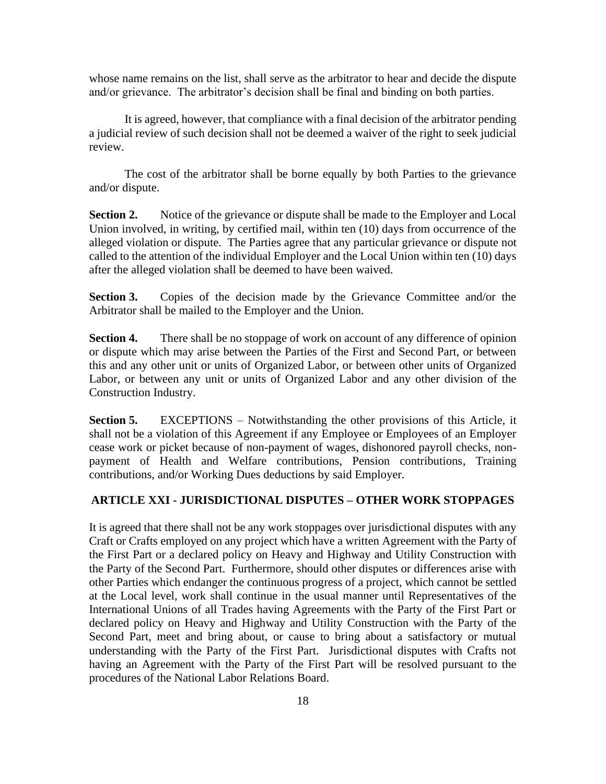whose name remains on the list, shall serve as the arbitrator to hear and decide the dispute and/or grievance. The arbitrator's decision shall be final and binding on both parties.

It is agreed, however, that compliance with a final decision of the arbitrator pending a judicial review of such decision shall not be deemed a waiver of the right to seek judicial review.

The cost of the arbitrator shall be borne equally by both Parties to the grievance and/or dispute.

**Section 2.** Notice of the grievance or dispute shall be made to the Employer and Local Union involved, in writing, by certified mail, within ten (10) days from occurrence of the alleged violation or dispute. The Parties agree that any particular grievance or dispute not called to the attention of the individual Employer and the Local Union within ten (10) days after the alleged violation shall be deemed to have been waived.

**Section 3.** Copies of the decision made by the Grievance Committee and/or the Arbitrator shall be mailed to the Employer and the Union.

**Section 4.** There shall be no stoppage of work on account of any difference of opinion or dispute which may arise between the Parties of the First and Second Part, or between this and any other unit or units of Organized Labor, or between other units of Organized Labor, or between any unit or units of Organized Labor and any other division of the Construction Industry.

**Section 5.** EXCEPTIONS – Notwithstanding the other provisions of this Article, it shall not be a violation of this Agreement if any Employee or Employees of an Employer cease work or picket because of non-payment of wages, dishonored payroll checks, nonpayment of Health and Welfare contributions, Pension contributions, Training contributions, and/or Working Dues deductions by said Employer.

## <span id="page-20-0"></span>**ARTICLE XXI - JURISDICTIONAL DISPUTES – OTHER WORK STOPPAGES**

It is agreed that there shall not be any work stoppages over jurisdictional disputes with any Craft or Crafts employed on any project which have a written Agreement with the Party of the First Part or a declared policy on Heavy and Highway and Utility Construction with the Party of the Second Part. Furthermore, should other disputes or differences arise with other Parties which endanger the continuous progress of a project, which cannot be settled at the Local level, work shall continue in the usual manner until Representatives of the International Unions of all Trades having Agreements with the Party of the First Part or declared policy on Heavy and Highway and Utility Construction with the Party of the Second Part, meet and bring about, or cause to bring about a satisfactory or mutual understanding with the Party of the First Part. Jurisdictional disputes with Crafts not having an Agreement with the Party of the First Part will be resolved pursuant to the procedures of the National Labor Relations Board.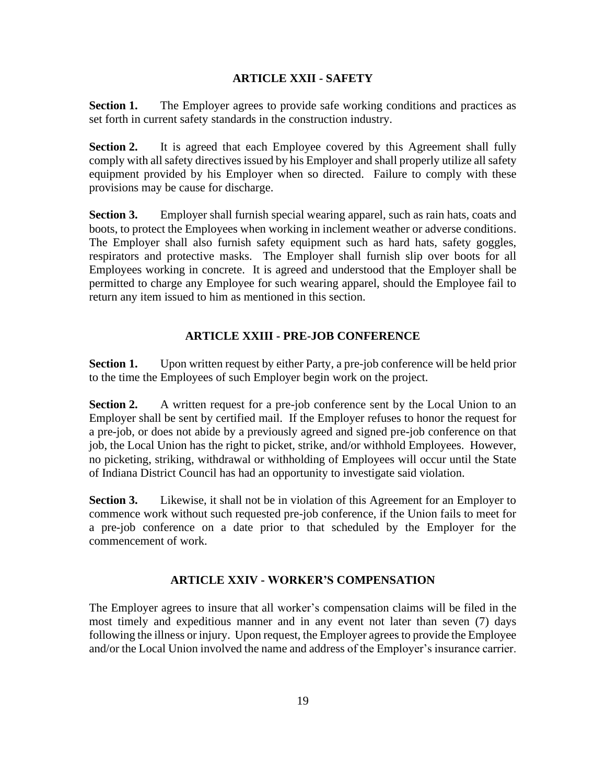## **ARTICLE XXII - SAFETY**

<span id="page-21-0"></span>**Section 1.** The Employer agrees to provide safe working conditions and practices as set forth in current safety standards in the construction industry.

**Section 2.** It is agreed that each Employee covered by this Agreement shall fully comply with all safety directives issued by his Employer and shall properly utilize all safety equipment provided by his Employer when so directed. Failure to comply with these provisions may be cause for discharge.

**Section 3.** Employer shall furnish special wearing apparel, such as rain hats, coats and boots, to protect the Employees when working in inclement weather or adverse conditions. The Employer shall also furnish safety equipment such as hard hats, safety goggles, respirators and protective masks. The Employer shall furnish slip over boots for all Employees working in concrete. It is agreed and understood that the Employer shall be permitted to charge any Employee for such wearing apparel, should the Employee fail to return any item issued to him as mentioned in this section.

# **ARTICLE XXIII - PRE-JOB CONFERENCE**

<span id="page-21-1"></span>**Section 1.** Upon written request by either Party, a pre-job conference will be held prior to the time the Employees of such Employer begin work on the project.

**Section 2.** A written request for a pre-job conference sent by the Local Union to an Employer shall be sent by certified mail. If the Employer refuses to honor the request for a pre-job, or does not abide by a previously agreed and signed pre-job conference on that job, the Local Union has the right to picket, strike, and/or withhold Employees. However, no picketing, striking, withdrawal or withholding of Employees will occur until the State of Indiana District Council has had an opportunity to investigate said violation.

**Section 3.** Likewise, it shall not be in violation of this Agreement for an Employer to commence work without such requested pre-job conference, if the Union fails to meet for a pre-job conference on a date prior to that scheduled by the Employer for the commencement of work.

# **ARTICLE XXIV - WORKER'S COMPENSATION**

<span id="page-21-2"></span>The Employer agrees to insure that all worker's compensation claims will be filed in the most timely and expeditious manner and in any event not later than seven (7) days following the illness or injury. Upon request, the Employer agrees to provide the Employee and/or the Local Union involved the name and address of the Employer's insurance carrier.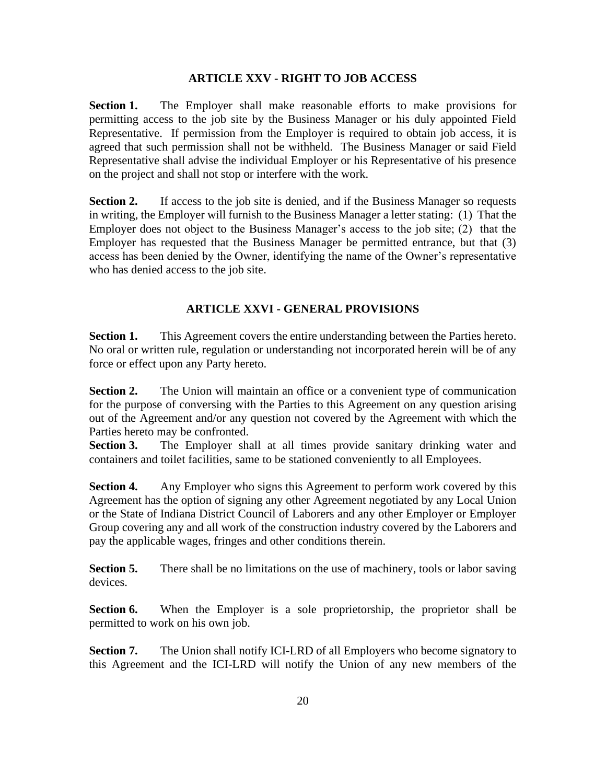### **ARTICLE XXV - RIGHT TO JOB ACCESS**

<span id="page-22-0"></span>**Section 1.** The Employer shall make reasonable efforts to make provisions for permitting access to the job site by the Business Manager or his duly appointed Field Representative. If permission from the Employer is required to obtain job access, it is agreed that such permission shall not be withheld. The Business Manager or said Field Representative shall advise the individual Employer or his Representative of his presence on the project and shall not stop or interfere with the work.

**Section 2.** If access to the job site is denied, and if the Business Manager so requests in writing, the Employer will furnish to the Business Manager a letter stating: (1) That the Employer does not object to the Business Manager's access to the job site; (2) that the Employer has requested that the Business Manager be permitted entrance, but that (3) access has been denied by the Owner, identifying the name of the Owner's representative who has denied access to the job site.

# **ARTICLE XXVI - GENERAL PROVISIONS**

<span id="page-22-1"></span>**Section 1.** This Agreement covers the entire understanding between the Parties hereto. No oral or written rule, regulation or understanding not incorporated herein will be of any force or effect upon any Party hereto.

**Section 2.** The Union will maintain an office or a convenient type of communication for the purpose of conversing with the Parties to this Agreement on any question arising out of the Agreement and/or any question not covered by the Agreement with which the Parties hereto may be confronted.

**Section 3.** The Employer shall at all times provide sanitary drinking water and containers and toilet facilities, same to be stationed conveniently to all Employees.

**Section 4.** Any Employer who signs this Agreement to perform work covered by this Agreement has the option of signing any other Agreement negotiated by any Local Union or the State of Indiana District Council of Laborers and any other Employer or Employer Group covering any and all work of the construction industry covered by the Laborers and pay the applicable wages, fringes and other conditions therein.

**Section 5.** There shall be no limitations on the use of machinery, tools or labor saving devices.

**Section 6.** When the Employer is a sole proprietorship, the proprietor shall be permitted to work on his own job.

**Section 7.** The Union shall notify ICI-LRD of all Employers who become signatory to this Agreement and the ICI-LRD will notify the Union of any new members of the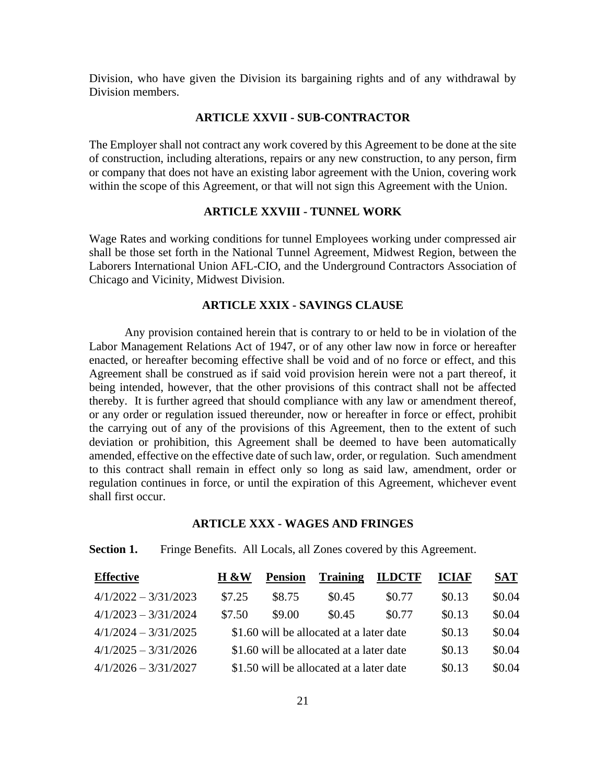<span id="page-23-0"></span>Division, who have given the Division its bargaining rights and of any withdrawal by Division members.

#### **ARTICLE XXVII - SUB-CONTRACTOR**

The Employer shall not contract any work covered by this Agreement to be done at the site of construction, including alterations, repairs or any new construction, to any person, firm or company that does not have an existing labor agreement with the Union, covering work within the scope of this Agreement, or that will not sign this Agreement with the Union.

### **ARTICLE XXVIII - TUNNEL WORK**

<span id="page-23-1"></span>Wage Rates and working conditions for tunnel Employees working under compressed air shall be those set forth in the National Tunnel Agreement, Midwest Region, between the Laborers International Union AFL-CIO, and the Underground Contractors Association of Chicago and Vicinity, Midwest Division.

# **ARTICLE XXIX - SAVINGS CLAUSE**

<span id="page-23-2"></span>Any provision contained herein that is contrary to or held to be in violation of the Labor Management Relations Act of 1947, or of any other law now in force or hereafter enacted, or hereafter becoming effective shall be void and of no force or effect, and this Agreement shall be construed as if said void provision herein were not a part thereof, it being intended, however, that the other provisions of this contract shall not be affected thereby. It is further agreed that should compliance with any law or amendment thereof, or any order or regulation issued thereunder, now or hereafter in force or effect, prohibit the carrying out of any of the provisions of this Agreement, then to the extent of such deviation or prohibition, this Agreement shall be deemed to have been automatically amended, effective on the effective date of such law, order, or regulation. Such amendment to this contract shall remain in effect only so long as said law, amendment, order or regulation continues in force, or until the expiration of this Agreement, whichever event shall first occur.

## <span id="page-23-3"></span>**ARTICLE XXX - WAGES AND FRINGES**

#### **Section 1.** Fringe Benefits. All Locals, all Zones covered by this Agreement.

| <b>Effective</b>       | H &W   | <b>Pension</b> | <b>Training</b>                          | <b>ILDCTF</b> | <b>ICIAF</b> | <b>SAT</b> |
|------------------------|--------|----------------|------------------------------------------|---------------|--------------|------------|
| $4/1/2022 - 3/31/2023$ | \$7.25 | \$8.75         | \$0.45                                   | \$0.77        | \$0.13       | \$0.04     |
| $4/1/2023 - 3/31/2024$ | \$7.50 | \$9.00         | \$0.45                                   | \$0.77        | \$0.13       | \$0.04     |
| $4/1/2024 - 3/31/2025$ |        |                | \$1.60 will be allocated at a later date |               | \$0.13       | \$0.04     |
| $4/1/2025 - 3/31/2026$ |        |                | \$1.60 will be allocated at a later date |               | \$0.13       | \$0.04     |
| $4/1/2026 - 3/31/2027$ |        |                | \$1.50 will be allocated at a later date |               | \$0.13       | \$0.04     |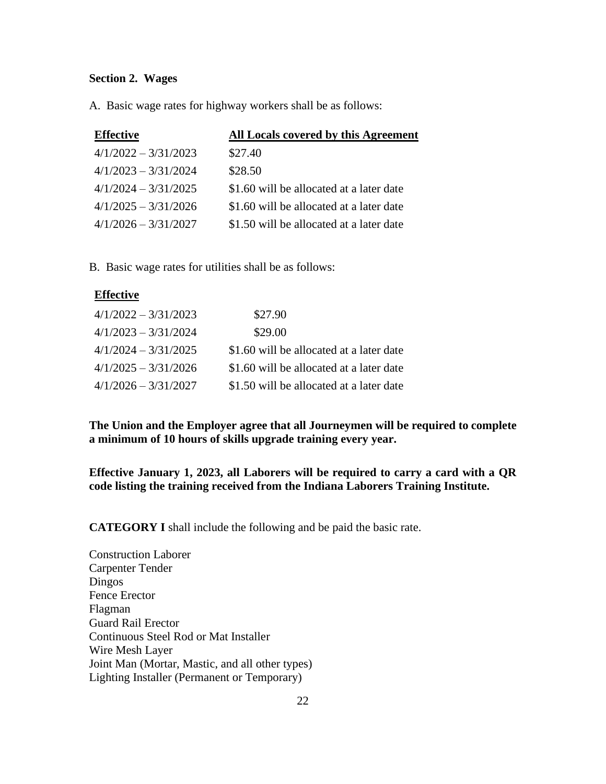#### **Section 2. Wages**

A. Basic wage rates for highway workers shall be as follows:

| <b>Effective</b>       | All Locals covered by this Agreement     |
|------------------------|------------------------------------------|
| $4/1/2022 - 3/31/2023$ | \$27.40                                  |
| $4/1/2023 - 3/31/2024$ | \$28.50                                  |
| $4/1/2024 - 3/31/2025$ | \$1.60 will be allocated at a later date |
| $4/1/2025 - 3/31/2026$ | \$1.60 will be allocated at a later date |
| $4/1/2026 - 3/31/2027$ | \$1.50 will be allocated at a later date |

B. Basic wage rates for utilities shall be as follows:

# **Effective**

| $4/1/2022 - 3/31/2023$ | \$27.90                                  |
|------------------------|------------------------------------------|
| $4/1/2023 - 3/31/2024$ | \$29.00                                  |
| $4/1/2024 - 3/31/2025$ | \$1.60 will be allocated at a later date |
| $4/1/2025 - 3/31/2026$ | \$1.60 will be allocated at a later date |
| $4/1/2026 - 3/31/2027$ | \$1.50 will be allocated at a later date |

**The Union and the Employer agree that all Journeymen will be required to complete a minimum of 10 hours of skills upgrade training every year.**

**Effective January 1, 2023, all Laborers will be required to carry a card with a QR code listing the training received from the Indiana Laborers Training Institute.** 

**CATEGORY I** shall include the following and be paid the basic rate.

Construction Laborer Carpenter Tender Dingos Fence Erector Flagman Guard Rail Erector Continuous Steel Rod or Mat Installer Wire Mesh Layer Joint Man (Mortar, Mastic, and all other types) Lighting Installer (Permanent or Temporary)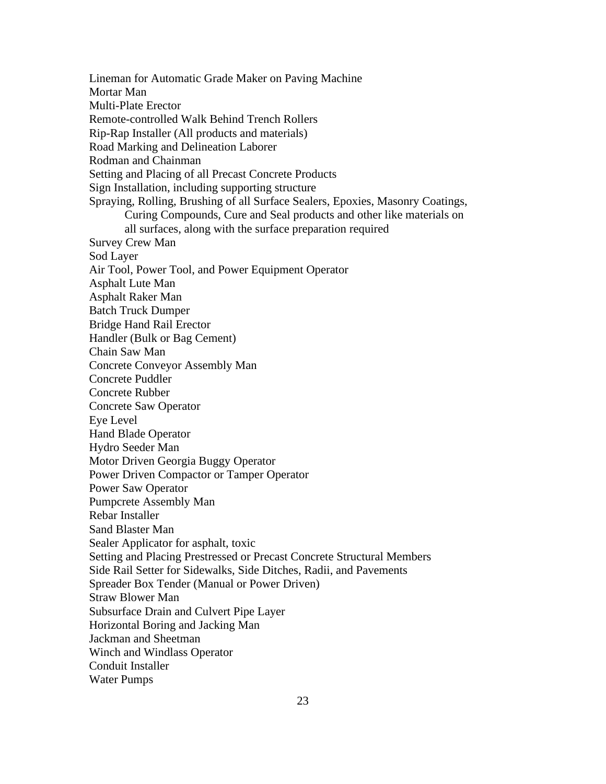Lineman for Automatic Grade Maker on Paving Machine Mortar Man Multi-Plate Erector Remote-controlled Walk Behind Trench Rollers Rip-Rap Installer (All products and materials) Road Marking and Delineation Laborer Rodman and Chainman Setting and Placing of all Precast Concrete Products Sign Installation, including supporting structure Spraying, Rolling, Brushing of all Surface Sealers, Epoxies, Masonry Coatings, Curing Compounds, Cure and Seal products and other like materials on all surfaces, along with the surface preparation required Survey Crew Man Sod Layer Air Tool, Power Tool, and Power Equipment Operator Asphalt Lute Man Asphalt Raker Man Batch Truck Dumper Bridge Hand Rail Erector Handler (Bulk or Bag Cement) Chain Saw Man Concrete Conveyor Assembly Man Concrete Puddler Concrete Rubber Concrete Saw Operator Eye Level Hand Blade Operator Hydro Seeder Man Motor Driven Georgia Buggy Operator Power Driven Compactor or Tamper Operator Power Saw Operator Pumpcrete Assembly Man Rebar Installer Sand Blaster Man Sealer Applicator for asphalt, toxic Setting and Placing Prestressed or Precast Concrete Structural Members Side Rail Setter for Sidewalks, Side Ditches, Radii, and Pavements Spreader Box Tender (Manual or Power Driven) Straw Blower Man Subsurface Drain and Culvert Pipe Layer Horizontal Boring and Jacking Man Jackman and Sheetman Winch and Windlass Operator Conduit Installer Water Pumps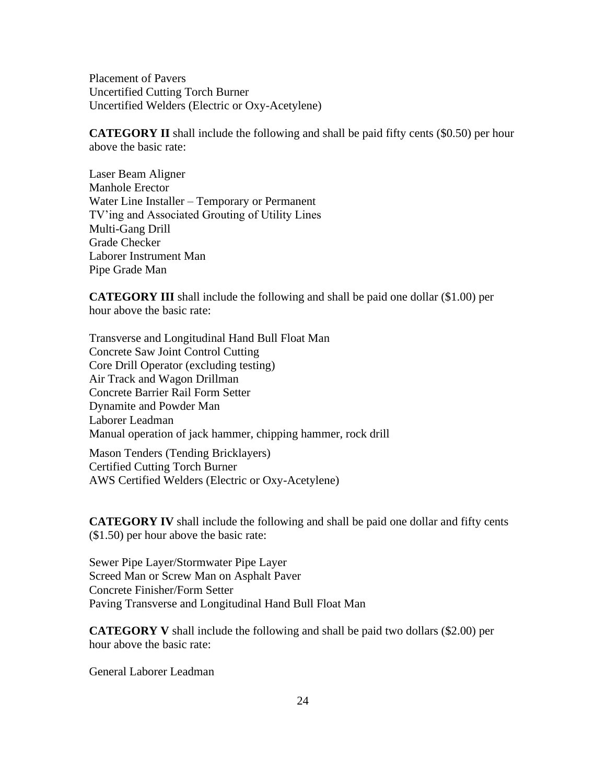Placement of Pavers Uncertified Cutting Torch Burner Uncertified Welders (Electric or Oxy-Acetylene)

**CATEGORY II** shall include the following and shall be paid fifty cents (\$0.50) per hour above the basic rate:

Laser Beam Aligner Manhole Erector Water Line Installer – Temporary or Permanent TV'ing and Associated Grouting of Utility Lines Multi-Gang Drill Grade Checker Laborer Instrument Man Pipe Grade Man

**CATEGORY III** shall include the following and shall be paid one dollar (\$1.00) per hour above the basic rate:

Transverse and Longitudinal Hand Bull Float Man Concrete Saw Joint Control Cutting Core Drill Operator (excluding testing) Air Track and Wagon Drillman Concrete Barrier Rail Form Setter Dynamite and Powder Man Laborer Leadman Manual operation of jack hammer, chipping hammer, rock drill

Mason Tenders (Tending Bricklayers) Certified Cutting Torch Burner AWS Certified Welders (Electric or Oxy-Acetylene)

**CATEGORY IV** shall include the following and shall be paid one dollar and fifty cents (\$1.50) per hour above the basic rate:

Sewer Pipe Layer/Stormwater Pipe Layer Screed Man or Screw Man on Asphalt Paver Concrete Finisher/Form Setter Paving Transverse and Longitudinal Hand Bull Float Man

**CATEGORY V** shall include the following and shall be paid two dollars (\$2.00) per hour above the basic rate:

General Laborer Leadman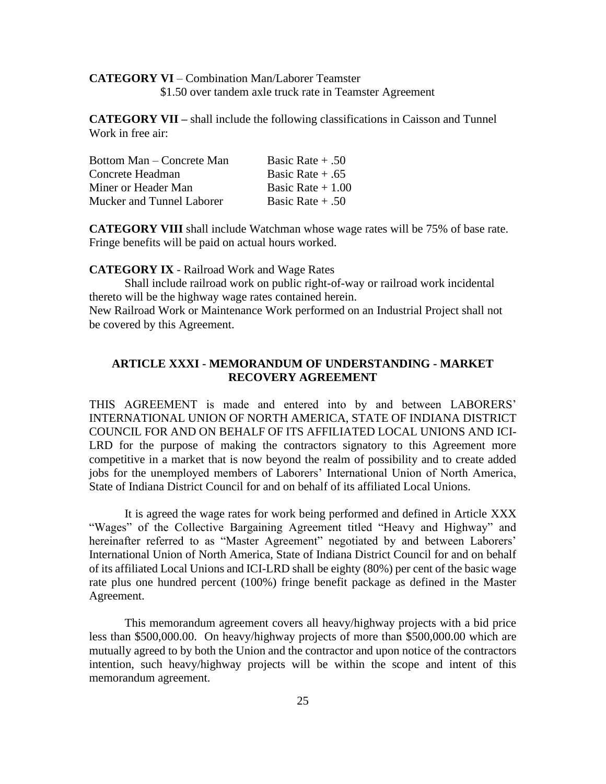## **CATEGORY VI** – Combination Man/Laborer Teamster \$1.50 over tandem axle truck rate in Teamster Agreement

**CATEGORY VII –** shall include the following classifications in Caisson and Tunnel Work in free air:

| Bottom Man – Concrete Man | Basic Rate $+ .50$ |
|---------------------------|--------------------|
| Concrete Headman          | Basic Rate $+ .65$ |
| Miner or Header Man       | Basic Rate $+1.00$ |
| Mucker and Tunnel Laborer | Basic Rate $+ .50$ |

**CATEGORY VIII** shall include Watchman whose wage rates will be 75% of base rate. Fringe benefits will be paid on actual hours worked.

#### **CATEGORY IX** - Railroad Work and Wage Rates

Shall include railroad work on public right-of-way or railroad work incidental thereto will be the highway wage rates contained herein.

New Railroad Work or Maintenance Work performed on an Industrial Project shall not be covered by this Agreement.

# <span id="page-27-0"></span>**ARTICLE XXXI - MEMORANDUM OF UNDERSTANDING - MARKET RECOVERY AGREEMENT**

THIS AGREEMENT is made and entered into by and between LABORERS' INTERNATIONAL UNION OF NORTH AMERICA, STATE OF INDIANA DISTRICT COUNCIL FOR AND ON BEHALF OF ITS AFFILIATED LOCAL UNIONS AND ICI-LRD for the purpose of making the contractors signatory to this Agreement more competitive in a market that is now beyond the realm of possibility and to create added jobs for the unemployed members of Laborers' International Union of North America, State of Indiana District Council for and on behalf of its affiliated Local Unions.

It is agreed the wage rates for work being performed and defined in Article XXX "Wages" of the Collective Bargaining Agreement titled "Heavy and Highway" and hereinafter referred to as "Master Agreement" negotiated by and between Laborers' International Union of North America, State of Indiana District Council for and on behalf of its affiliated Local Unions and ICI-LRD shall be eighty (80%) per cent of the basic wage rate plus one hundred percent (100%) fringe benefit package as defined in the Master Agreement.

This memorandum agreement covers all heavy/highway projects with a bid price less than \$500,000.00. On heavy/highway projects of more than \$500,000.00 which are mutually agreed to by both the Union and the contractor and upon notice of the contractors intention, such heavy/highway projects will be within the scope and intent of this memorandum agreement.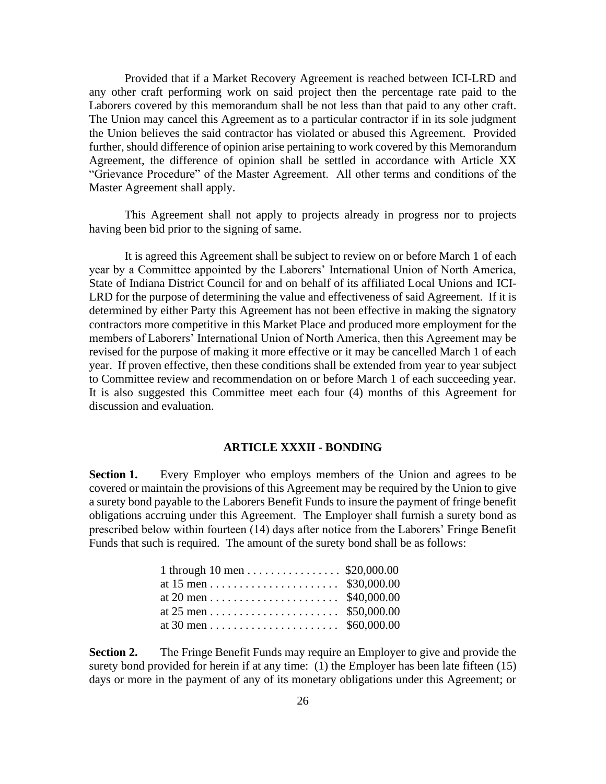Provided that if a Market Recovery Agreement is reached between ICI-LRD and any other craft performing work on said project then the percentage rate paid to the Laborers covered by this memorandum shall be not less than that paid to any other craft. The Union may cancel this Agreement as to a particular contractor if in its sole judgment the Union believes the said contractor has violated or abused this Agreement. Provided further, should difference of opinion arise pertaining to work covered by this Memorandum Agreement, the difference of opinion shall be settled in accordance with Article XX "Grievance Procedure" of the Master Agreement. All other terms and conditions of the Master Agreement shall apply.

This Agreement shall not apply to projects already in progress nor to projects having been bid prior to the signing of same.

It is agreed this Agreement shall be subject to review on or before March 1 of each year by a Committee appointed by the Laborers' International Union of North America, State of Indiana District Council for and on behalf of its affiliated Local Unions and ICI-LRD for the purpose of determining the value and effectiveness of said Agreement. If it is determined by either Party this Agreement has not been effective in making the signatory contractors more competitive in this Market Place and produced more employment for the members of Laborers' International Union of North America, then this Agreement may be revised for the purpose of making it more effective or it may be cancelled March 1 of each year. If proven effective, then these conditions shall be extended from year to year subject to Committee review and recommendation on or before March 1 of each succeeding year. It is also suggested this Committee meet each four (4) months of this Agreement for discussion and evaluation.

#### **ARTICLE XXXII - BONDING**

<span id="page-28-0"></span>**Section 1.** Every Employer who employs members of the Union and agrees to be covered or maintain the provisions of this Agreement may be required by the Union to give a surety bond payable to the Laborers Benefit Funds to insure the payment of fringe benefit obligations accruing under this Agreement. The Employer shall furnish a surety bond as prescribed below within fourteen (14) days after notice from the Laborers' Fringe Benefit Funds that such is required. The amount of the surety bond shall be as follows:

| 1 through 10 men \$20,000.00 |  |
|------------------------------|--|
|                              |  |
|                              |  |
|                              |  |
|                              |  |
|                              |  |

**Section 2.** The Fringe Benefit Funds may require an Employer to give and provide the surety bond provided for herein if at any time: (1) the Employer has been late fifteen (15) days or more in the payment of any of its monetary obligations under this Agreement; or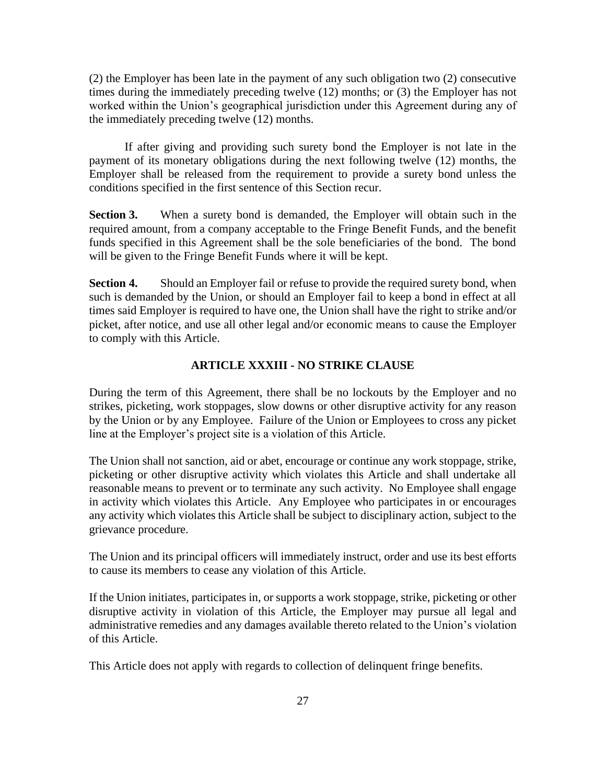(2) the Employer has been late in the payment of any such obligation two (2) consecutive times during the immediately preceding twelve (12) months; or (3) the Employer has not worked within the Union's geographical jurisdiction under this Agreement during any of the immediately preceding twelve (12) months.

If after giving and providing such surety bond the Employer is not late in the payment of its monetary obligations during the next following twelve (12) months, the Employer shall be released from the requirement to provide a surety bond unless the conditions specified in the first sentence of this Section recur.

**Section 3.** When a surety bond is demanded, the Employer will obtain such in the required amount, from a company acceptable to the Fringe Benefit Funds, and the benefit funds specified in this Agreement shall be the sole beneficiaries of the bond. The bond will be given to the Fringe Benefit Funds where it will be kept.

**Section 4.** Should an Employer fail or refuse to provide the required surety bond, when such is demanded by the Union, or should an Employer fail to keep a bond in effect at all times said Employer is required to have one, the Union shall have the right to strike and/or picket, after notice, and use all other legal and/or economic means to cause the Employer to comply with this Article.

### **ARTICLE XXXIII - NO STRIKE CLAUSE**

<span id="page-29-0"></span>During the term of this Agreement, there shall be no lockouts by the Employer and no strikes, picketing, work stoppages, slow downs or other disruptive activity for any reason by the Union or by any Employee. Failure of the Union or Employees to cross any picket line at the Employer's project site is a violation of this Article.

The Union shall not sanction, aid or abet, encourage or continue any work stoppage, strike, picketing or other disruptive activity which violates this Article and shall undertake all reasonable means to prevent or to terminate any such activity. No Employee shall engage in activity which violates this Article. Any Employee who participates in or encourages any activity which violates this Article shall be subject to disciplinary action, subject to the grievance procedure.

The Union and its principal officers will immediately instruct, order and use its best efforts to cause its members to cease any violation of this Article.

If the Union initiates, participates in, or supports a work stoppage, strike, picketing or other disruptive activity in violation of this Article, the Employer may pursue all legal and administrative remedies and any damages available thereto related to the Union's violation of this Article.

This Article does not apply with regards to collection of delinquent fringe benefits.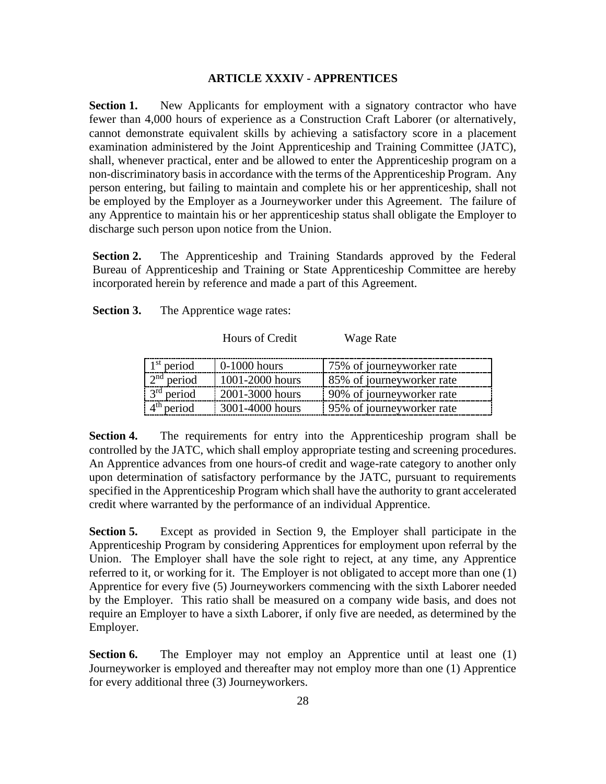### **ARTICLE XXXIV - APPRENTICES**

<span id="page-30-0"></span>**Section 1.** New Applicants for employment with a signatory contractor who have fewer than 4,000 hours of experience as a Construction Craft Laborer (or alternatively, cannot demonstrate equivalent skills by achieving a satisfactory score in a placement examination administered by the Joint Apprenticeship and Training Committee (JATC), shall, whenever practical, enter and be allowed to enter the Apprenticeship program on a non-discriminatory basis in accordance with the terms of the Apprenticeship Program. Any person entering, but failing to maintain and complete his or her apprenticeship, shall not be employed by the Employer as a Journeyworker under this Agreement. The failure of any Apprentice to maintain his or her apprenticeship status shall obligate the Employer to discharge such person upon notice from the Union.

**Section 2.** The Apprenticeship and Training Standards approved by the Federal Bureau of Apprenticeship and Training or State Apprenticeship Committee are hereby incorporated herein by reference and made a part of this Agreement.

**Section 3.** The Apprentice wage rates:

Hours of Credit Wage Rate

1 period  $\vert$  0-1000 hours  $\vert$  75% of journeyworker rate 2 period  $\vert$  1001-2000 hours  $\vert$  85% of journeyworker rate 3<sup>rd</sup> period  $\vert$  2001-3000 hours  $\vert$  90% of journeyworker rate 4 period 3001-4000 hours 95% of journeyworker rate

**Section 4.** The requirements for entry into the Apprenticeship program shall be controlled by the JATC, which shall employ appropriate testing and screening procedures. An Apprentice advances from one hours-of credit and wage-rate category to another only upon determination of satisfactory performance by the JATC, pursuant to requirements specified in the Apprenticeship Program which shall have the authority to grant accelerated credit where warranted by the performance of an individual Apprentice.

**Section 5.** Except as provided in Section 9, the Employer shall participate in the Apprenticeship Program by considering Apprentices for employment upon referral by the Union. The Employer shall have the sole right to reject, at any time, any Apprentice referred to it, or working for it. The Employer is not obligated to accept more than one (1) Apprentice for every five (5) Journeyworkers commencing with the sixth Laborer needed by the Employer. This ratio shall be measured on a company wide basis, and does not require an Employer to have a sixth Laborer, if only five are needed, as determined by the Employer.

**Section 6.** The Employer may not employ an Apprentice until at least one (1) Journeyworker is employed and thereafter may not employ more than one (1) Apprentice for every additional three (3) Journeyworkers.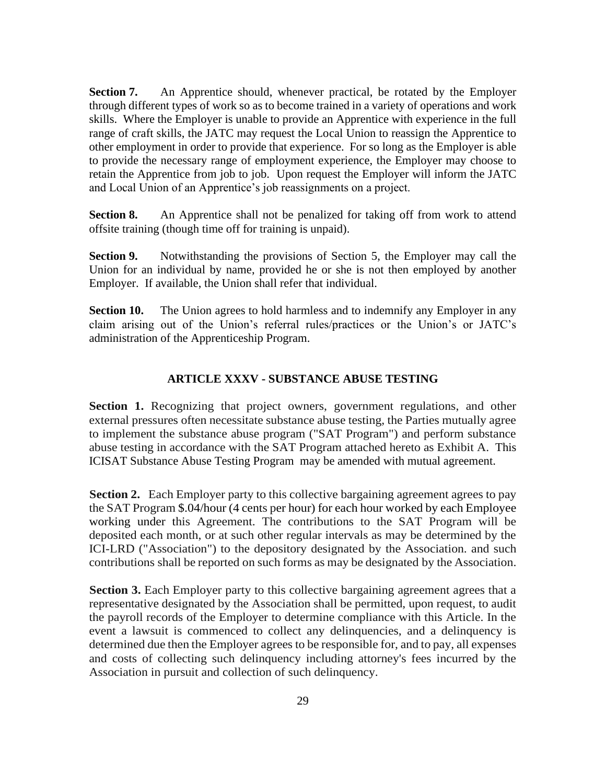**Section 7.** An Apprentice should, whenever practical, be rotated by the Employer through different types of work so as to become trained in a variety of operations and work skills. Where the Employer is unable to provide an Apprentice with experience in the full range of craft skills, the JATC may request the Local Union to reassign the Apprentice to other employment in order to provide that experience. For so long as the Employer is able to provide the necessary range of employment experience, the Employer may choose to retain the Apprentice from job to job. Upon request the Employer will inform the JATC and Local Union of an Apprentice's job reassignments on a project.

**Section 8.** An Apprentice shall not be penalized for taking off from work to attend offsite training (though time off for training is unpaid).

**Section 9.** Notwithstanding the provisions of Section 5, the Employer may call the Union for an individual by name, provided he or she is not then employed by another Employer. If available, the Union shall refer that individual.

**Section 10.** The Union agrees to hold harmless and to indemnify any Employer in any claim arising out of the Union's referral rules/practices or the Union's or JATC's administration of the Apprenticeship Program.

### **ARTICLE XXXV - SUBSTANCE ABUSE TESTING**

<span id="page-31-0"></span>**Section 1.** Recognizing that project owners, government regulations, and other external pressures often necessitate substance abuse testing, the Parties mutually agree to implement the substance abuse program ("SAT Program") and perform substance abuse testing in accordance with the SAT Program attached hereto as Exhibit A. This ICISAT Substance Abuse Testing Program may be amended with mutual agreement.

**Section 2.** Each Employer party to this collective bargaining agreement agrees to pay the SAT Program \$.04/hour (4 cents per hour) for each hour worked by each Employee working under this Agreement. The contributions to the SAT Program will be deposited each month, or at such other regular intervals as may be determined by the ICI-LRD ("Association") to the depository designated by the Association. and such contributions shall be reported on such forms as may be designated by the Association.

**Section 3.** Each Employer party to this collective bargaining agreement agrees that a representative designated by the Association shall be permitted, upon request, to audit the payroll records of the Employer to determine compliance with this Article. In the event a lawsuit is commenced to collect any delinquencies, and a delinquency is determined due then the Employer agrees to be responsible for, and to pay, all expenses and costs of collecting such delinquency including attorney's fees incurred by the Association in pursuit and collection of such delinquency.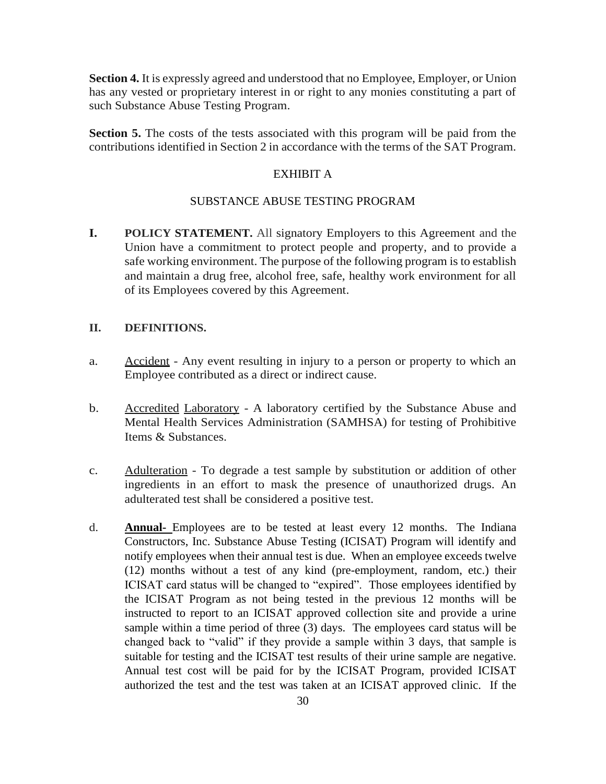**Section 4.** It is expressly agreed and understood that no Employee, Employer, or Union has any vested or proprietary interest in or right to any monies constituting a part of such Substance Abuse Testing Program.

**Section 5.** The costs of the tests associated with this program will be paid from the contributions identified in Section 2 in accordance with the terms of the SAT Program.

# EXHIBIT A

## SUBSTANCE ABUSE TESTING PROGRAM

**I. POLICY STATEMENT.** All signatory Employers to this Agreement and the Union have a commitment to protect people and property, and to provide a safe working environment. The purpose of the following program is to establish and maintain a drug free, alcohol free, safe, healthy work environment for all of its Employees covered by this Agreement.

## **II. DEFINITIONS.**

- a. Accident Any event resulting in injury to a person or property to which an Employee contributed as a direct or indirect cause.
- b. Accredited Laboratory A laboratory certified by the Substance Abuse and Mental Health Services Administration (SAMHSA) for testing of Prohibitive Items & Substances.
- c. Adulteration To degrade a test sample by substitution or addition of other ingredients in an effort to mask the presence of unauthorized drugs. An adulterated test shall be considered a positive test.
- d. **Annual-** Employees are to be tested at least every 12 months. The Indiana Constructors, Inc. Substance Abuse Testing (ICISAT) Program will identify and notify employees when their annual test is due. When an employee exceeds twelve (12) months without a test of any kind (pre-employment, random, etc.) their ICISAT card status will be changed to "expired". Those employees identified by the ICISAT Program as not being tested in the previous 12 months will be instructed to report to an ICISAT approved collection site and provide a urine sample within a time period of three (3) days. The employees card status will be changed back to "valid" if they provide a sample within 3 days, that sample is suitable for testing and the ICISAT test results of their urine sample are negative. Annual test cost will be paid for by the ICISAT Program, provided ICISAT authorized the test and the test was taken at an ICISAT approved clinic. If the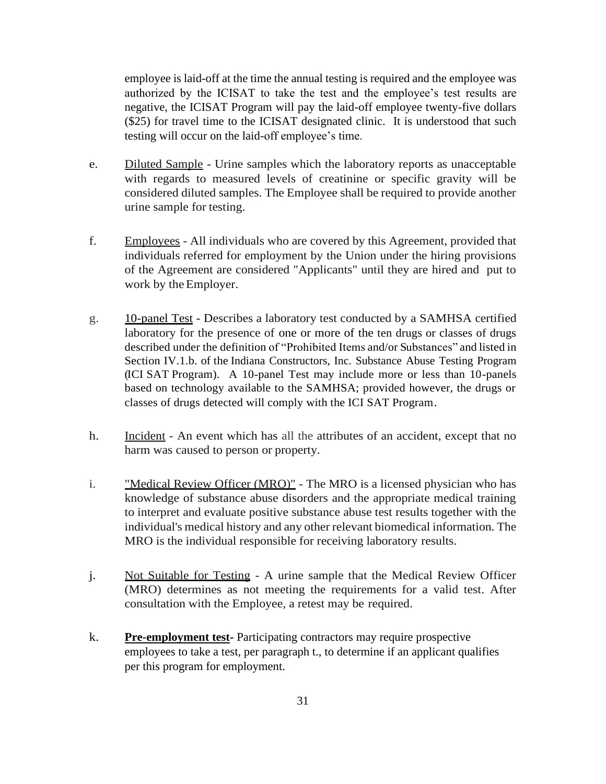employee is laid-off at the time the annual testing is required and the employee was authorized by the ICISAT to take the test and the employee's test results are negative, the ICISAT Program will pay the laid-off employee twenty-five dollars (\$25) for travel time to the ICISAT designated clinic. It is understood that such testing will occur on the laid-off employee's time.

- e. Diluted Sample Urine samples which the laboratory reports as unacceptable with regards to measured levels of creatinine or specific gravity will be considered diluted samples. The Employee shall be required to provide another urine sample for testing.
- f. Employees All individuals who are covered by this Agreement, provided that individuals referred for employment by the Union under the hiring provisions of the Agreement are considered "Applicants" until they are hired and put to work by the Employer.
- g. 10-panel Test Describes a laboratory test conducted by a SAMHSA certified laboratory for the presence of one or more of the ten drugs or classes of drugs described under the definition of "Prohibited Items and/or Substances" and listed in Section IV.1.b. of the Indiana Constructors, Inc. Substance Abuse Testing Program (ICI SAT Program). A 10-panel Test may include more or less than 10-panels based on technology available to the SAMHSA; provided however, the drugs or classes of drugs detected will comply with the ICI SAT Program.
- h. Incident An event which has all the attributes of an accident, except that no harm was caused to person or property.
- i. "Medical Review Officer (MRO)" The MRO is a licensed physician who has knowledge of substance abuse disorders and the appropriate medical training to interpret and evaluate positive substance abuse test results together with the individual's medical history and any other relevant biomedical information. The MRO is the individual responsible for receiving laboratory results.
- j. Not Suitable for Testing A urine sample that the Medical Review Officer (MRO) determines as not meeting the requirements for a valid test. After consultation with the Employee, a retest may be required.
- k. **Pre-employment test-** Participating contractors may require prospective employees to take a test, per paragraph t., to determine if an applicant qualifies per this program for employment.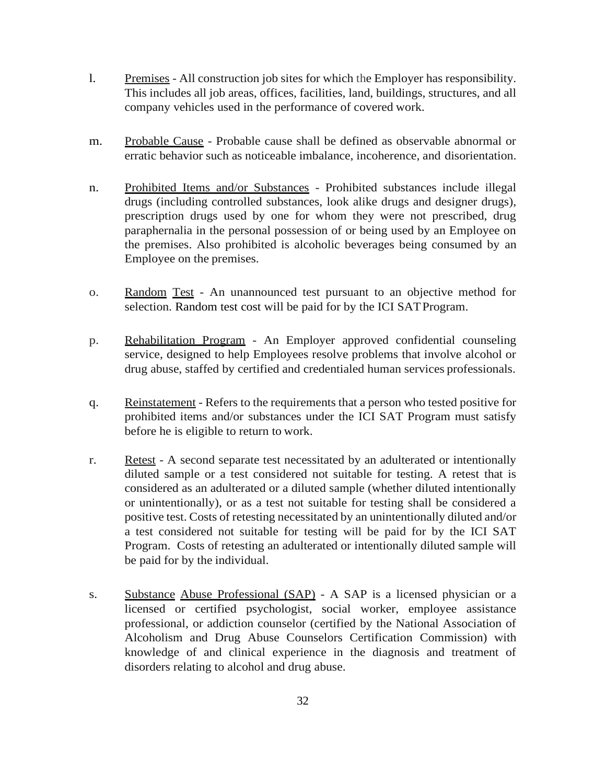- l. Premises All construction job sites for which the Employer has responsibility. This includes all job areas, offices, facilities, land, buildings, structures, and all company vehicles used in the performance of covered work.
- m. Probable Cause Probable cause shall be defined as observable abnormal or erratic behavior such as noticeable imbalance, incoherence, and disorientation.
- n. Prohibited Items and/or Substances Prohibited substances include illegal drugs (including controlled substances, look alike drugs and designer drugs), prescription drugs used by one for whom they were not prescribed, drug paraphernalia in the personal possession of or being used by an Employee on the premises. Also prohibited is alcoholic beverages being consumed by an Employee on the premises.
- o. Random Test An unannounced test pursuant to an objective method for selection. Random test cost will be paid for by the ICI SATProgram.
- p. Rehabilitation Program An Employer approved confidential counseling service, designed to help Employees resolve problems that involve alcohol or drug abuse, staffed by certified and credentialed human services professionals.
- q. Reinstatement Refers to the requirements that a person who tested positive for prohibited items and/or substances under the ICI SAT Program must satisfy before he is eligible to return to work.
- r. Retest A second separate test necessitated by an adulterated or intentionally diluted sample or a test considered not suitable for testing. A retest that is considered as an adulterated or a diluted sample (whether diluted intentionally or unintentionally), or as a test not suitable for testing shall be considered a positive test. Costs of retesting necessitated by an unintentionally diluted and/or a test considered not suitable for testing will be paid for by the ICI SAT Program. Costs of retesting an adulterated or intentionally diluted sample will be paid for by the individual.
- s. Substance Abuse Professional (SAP) A SAP is a licensed physician or a licensed or certified psychologist, social worker, employee assistance professional, or addiction counselor (certified by the National Association of Alcoholism and Drug Abuse Counselors Certification Commission) with knowledge of and clinical experience in the diagnosis and treatment of disorders relating to alcohol and drug abuse.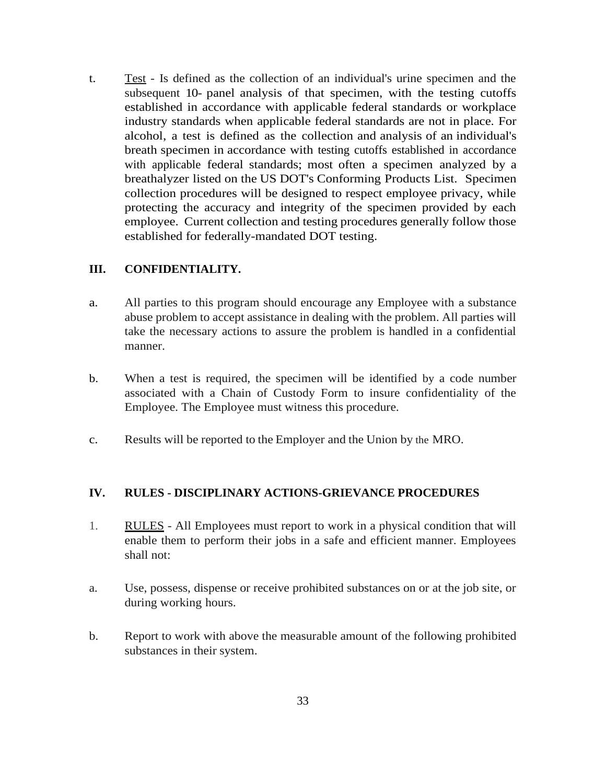t. Test - Is defined as the collection of an individual's urine specimen and the subsequent 10- panel analysis of that specimen, with the testing cutoffs established in accordance with applicable federal standards or workplace industry standards when applicable federal standards are not in place. For alcohol, a test is defined as the collection and analysis of an individual's breath specimen in accordance with testing cutoffs established in accordance with applicable federal standards; most often a specimen analyzed by a breathalyzer listed on the US DOT's Conforming Products List. Specimen collection procedures will be designed to respect employee privacy, while protecting the accuracy and integrity of the specimen provided by each employee. Current collection and testing procedures generally follow those established for federally-mandated DOT testing.

# **III. CONFIDENTIALITY.**

- a. All parties to this program should encourage any Employee with a substance abuse problem to accept assistance in dealing with the problem. All parties will take the necessary actions to assure the problem is handled in a confidential manner.
- b. When a test is required, the specimen will be identified by a code number associated with a Chain of Custody Form to insure confidentiality of the Employee. The Employee must witness this procedure.
- c. Results will be reported to the Employer and the Union by the MRO.

# **IV. RULES - DISCIPLINARY ACTIONS-GRIEVANCE PROCEDURES**

- 1. RULES All Employees must report to work in a physical condition that will enable them to perform their jobs in a safe and efficient manner. Employees shall not:
- a. Use, possess, dispense or receive prohibited substances on or at the job site, or during working hours.
- b. Report to work with above the measurable amount of the following prohibited substances in their system.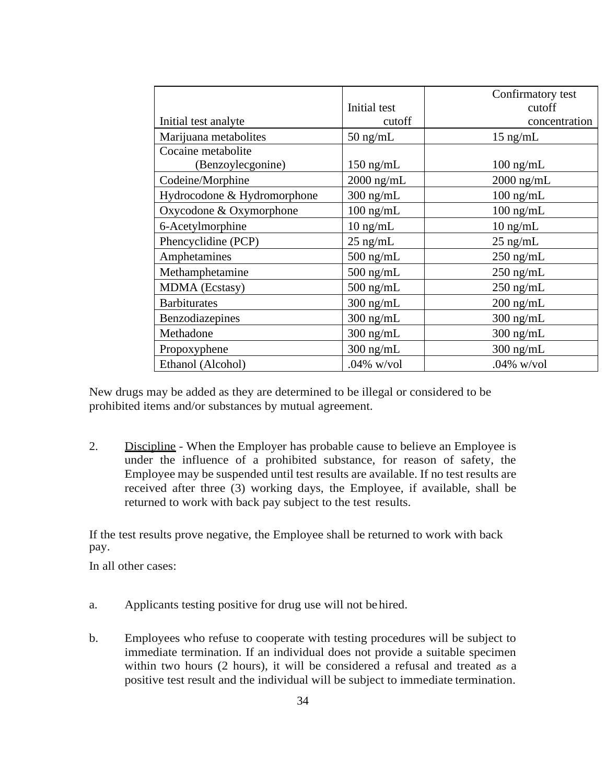|                             |               | Confirmatory test   |
|-----------------------------|---------------|---------------------|
|                             | Initial test  | cutoff              |
| Initial test analyte        | cutoff        | concentration       |
| Marijuana metabolites       | $50$ ng/mL    | $15$ ng/mL          |
| Cocaine metabolite          |               |                     |
| (Benzoylecgonine)           | $150$ ng/mL   | $100 \text{ ng/mL}$ |
| Codeine/Morphine            | $2000$ ng/mL  | $2000$ ng/mL        |
| Hydrocodone & Hydromorphone | $300$ ng/mL   | $100$ ng/mL         |
| Oxycodone & Oxymorphone     | $100$ ng/mL   | $100$ ng/mL         |
| 6-Acetylmorphine            | $10$ ng/mL    | $10$ ng/mL          |
| Phencyclidine (PCP)         | $25$ ng/mL    | $25$ ng/mL          |
| Amphetamines                | $500$ ng/mL   | $250$ ng/mL         |
| Methamphetamine             | $500$ ng/mL   | $250$ ng/mL         |
| MDMA (Ecstasy)              | $500$ ng/mL   | $250$ ng/mL         |
| <b>Barbiturates</b>         | $300$ ng/mL   | $200$ ng/mL         |
| Benzodiazepines             | $300$ ng/mL   | $300$ ng/mL         |
| Methadone                   | $300$ ng/mL   | $300$ ng/mL         |
| Propoxyphene                | $300$ ng/mL   | $300$ ng/mL         |
| Ethanol (Alcohol)           | $.04\%$ w/vol | $.04\%$ w/vol       |

New drugs may be added as they are determined to be illegal or considered to be prohibited items and/or substances by mutual agreement.

2. Discipline - When the Employer has probable cause to believe an Employee is under the influence of a prohibited substance, for reason of safety, the Employee may be suspended until test results are available. If no test results are received after three (3) working days, the Employee, if available, shall be returned to work with back pay subject to the test results.

If the test results prove negative, the Employee shall be returned to work with back pay.

In all other cases:

- a. Applicants testing positive for drug use will not behired.
- b. Employees who refuse to cooperate with testing procedures will be subject to immediate termination. If an individual does not provide a suitable specimen within two hours (2 hours), it will be considered a refusal and treated *as* a positive test result and the individual will be subject to immediate termination.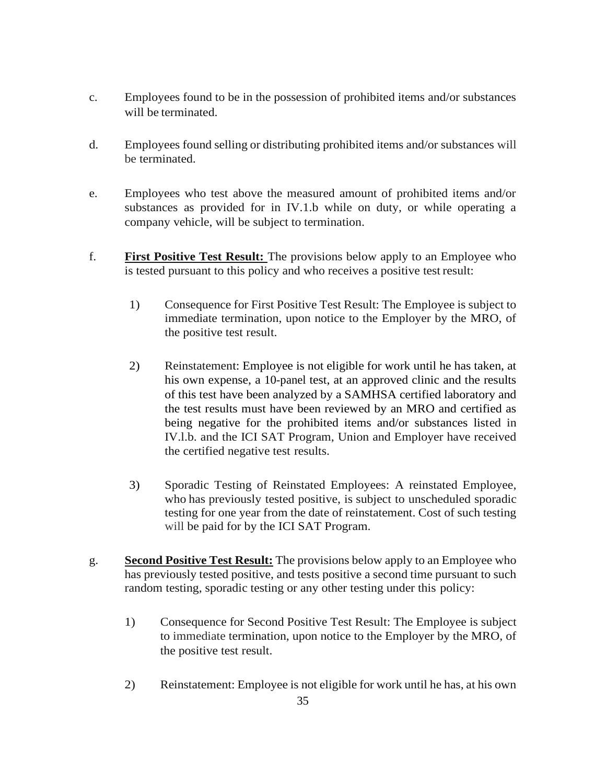- c. Employees found to be in the possession of prohibited items and/or substances will be terminated.
- d. Employees found selling or distributing prohibited items and/or substances will be terminated.
- e. Employees who test above the measured amount of prohibited items and/or substances as provided for in IV.1.b while on duty, or while operating a company vehicle, will be subject to termination.
- f. **First Positive Test Result:** The provisions below apply to an Employee who is tested pursuant to this policy and who receives a positive test result:
	- 1) Consequence for First Positive Test Result: The Employee is subject to immediate termination, upon notice to the Employer by the MRO, of the positive test result.
	- 2) Reinstatement: Employee is not eligible for work until he has taken, at his own expense, a 10-panel test, at an approved clinic and the results of this test have been analyzed by a SAMHSA certified laboratory and the test results must have been reviewed by an MRO and certified as being negative for the prohibited items and/or substances listed in IV.l.b. and the ICI SAT Program, Union and Employer have received the certified negative test results.
	- 3) Sporadic Testing of Reinstated Employees: A reinstated Employee, who has previously tested positive, is subject to unscheduled sporadic testing for one year from the date of reinstatement. Cost of such testing will be paid for by the ICI SAT Program.
- g. **Second Positive Test Result:** The provisions below apply to an Employee who has previously tested positive, and tests positive a second time pursuant to such random testing, sporadic testing or any other testing under this policy:
	- 1) Consequence for Second Positive Test Result: The Employee is subject to immediate termination, upon notice to the Employer by the MRO, of the positive test result.
	- 2) Reinstatement: Employee is not eligible for work until he has, at his own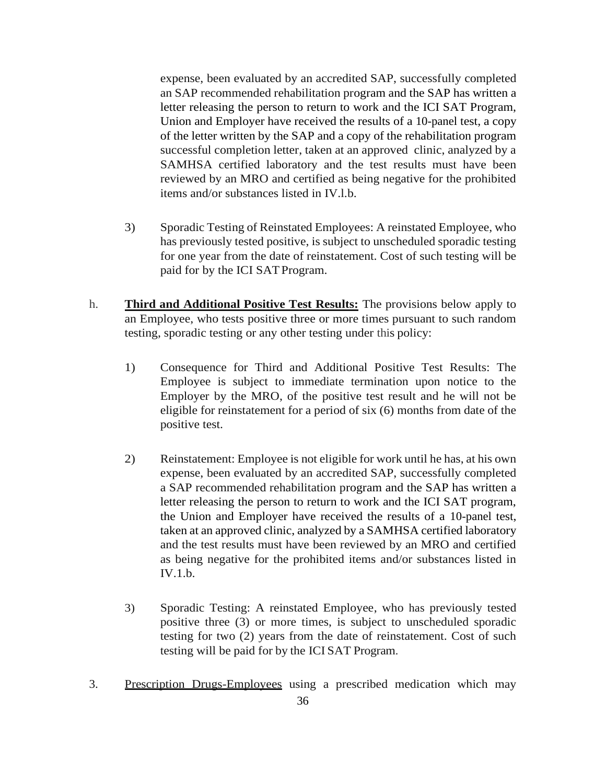expense, been evaluated by an accredited SAP, successfully completed an SAP recommended rehabilitation program and the SAP has written a letter releasing the person to return to work and the ICI SAT Program, Union and Employer have received the results of a 10-panel test, a copy of the letter written by the SAP and a copy of the rehabilitation program successful completion letter, taken at an approved clinic, analyzed by a SAMHSA certified laboratory and the test results must have been reviewed by an MRO and certified as being negative for the prohibited items and/or substances listed in IV.l.b.

- 3) Sporadic Testing of Reinstated Employees: A reinstated Employee, who has previously tested positive, is subject to unscheduled sporadic testing for one year from the date of reinstatement. Cost of such testing will be paid for by the ICI SATProgram.
- h. **Third and Additional Positive Test Results:** The provisions below apply to an Employee, who tests positive three or more times pursuant to such random testing, sporadic testing or any other testing under this policy:
	- 1) Consequence for Third and Additional Positive Test Results: The Employee is subject to immediate termination upon notice to the Employer by the MRO, of the positive test result and he will not be eligible for reinstatement for a period of six (6) months from date of the positive test.
	- 2) Reinstatement: Employee is not eligible for work until he has, at his own expense, been evaluated by an accredited SAP, successfully completed a SAP recommended rehabilitation program and the SAP has written a letter releasing the person to return to work and the ICI SAT program, the Union and Employer have received the results of a 10-panel test, taken at an approved clinic, analyzed by a SAMHSA certified laboratory and the test results must have been reviewed by an MRO and certified as being negative for the prohibited items and/or substances listed in IV.1.b.
	- 3) Sporadic Testing: A reinstated Employee, who has previously tested positive three (3) or more times, is subject to unscheduled sporadic testing for two (2) years from the date of reinstatement. Cost of such testing will be paid for by the ICI SAT Program.
- 3. Prescription Drugs-Employees using a prescribed medication which may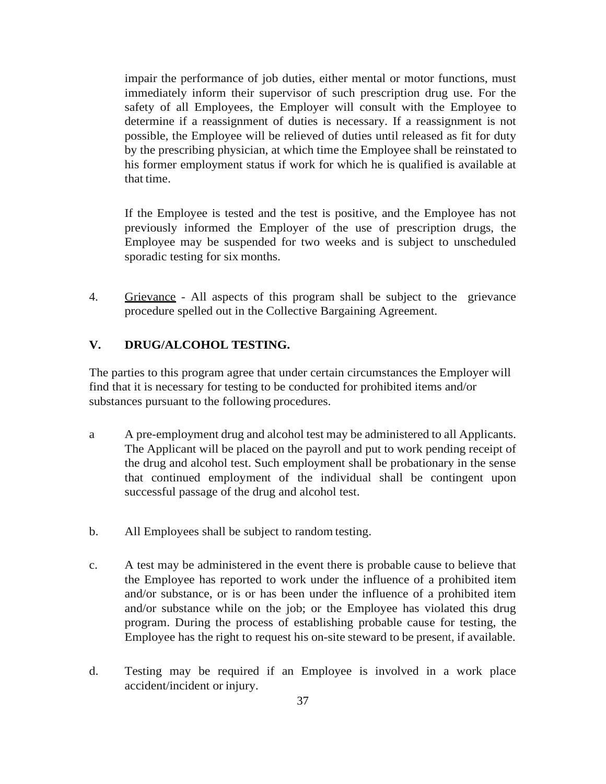impair the performance of job duties, either mental or motor functions, must immediately inform their supervisor of such prescription drug use. For the safety of all Employees, the Employer will consult with the Employee to determine if a reassignment of duties is necessary. If a reassignment is not possible, the Employee will be relieved of duties until released as fit for duty by the prescribing physician, at which time the Employee shall be reinstated to his former employment status if work for which he is qualified is available at that time.

If the Employee is tested and the test is positive, and the Employee has not previously informed the Employer of the use of prescription drugs, the Employee may be suspended for two weeks and is subject to unscheduled sporadic testing for six months.

4. Grievance - All aspects of this program shall be subject to the grievance procedure spelled out in the Collective Bargaining Agreement.

# **V. DRUG/ALCOHOL TESTING.**

The parties to this program agree that under certain circumstances the Employer will find that it is necessary for testing to be conducted for prohibited items and/or substances pursuant to the following procedures.

- a A pre-employment drug and alcohol test may be administered to all Applicants. The Applicant will be placed on the payroll and put to work pending receipt of the drug and alcohol test. Such employment shall be probationary in the sense that continued employment of the individual shall be contingent upon successful passage of the drug and alcohol test.
- b. All Employees shall be subject to random testing.
- c. A test may be administered in the event there is probable cause to believe that the Employee has reported to work under the influence of a prohibited item and/or substance, or is or has been under the influence of a prohibited item and/or substance while on the job; or the Employee has violated this drug program. During the process of establishing probable cause for testing, the Employee has the right to request his on-site steward to be present, if available.
- d. Testing may be required if an Employee is involved in a work place accident/incident or injury.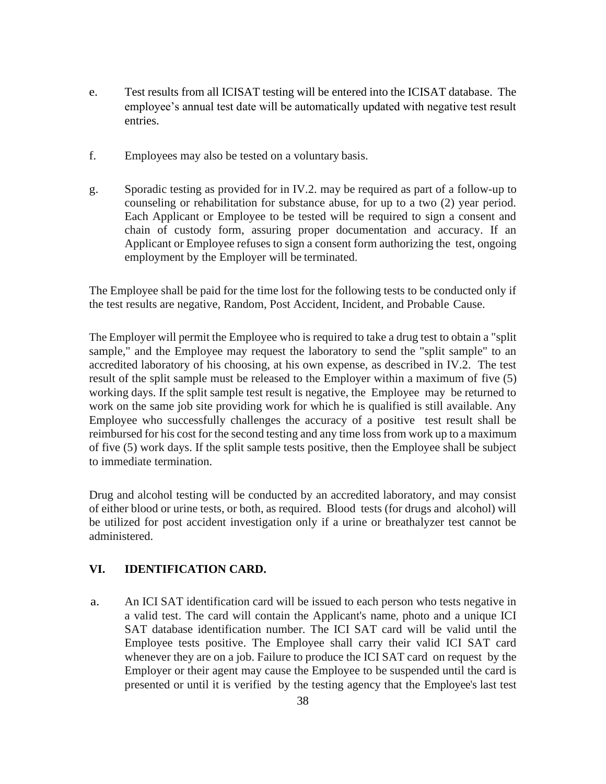- e. Test results from all ICISAT testing will be entered into the ICISAT database. The employee's annual test date will be automatically updated with negative test result entries.
- f. Employees may also be tested on a voluntary basis.
- g. Sporadic testing as provided for in IV.2. may be required as part of a follow-up to counseling or rehabilitation for substance abuse, for up to a two (2) year period. Each Applicant or Employee to be tested will be required to sign a consent and chain of custody form, assuring proper documentation and accuracy. If an Applicant or Employee refuses to sign a consent form authorizing the test, ongoing employment by the Employer will be terminated.

The Employee shall be paid for the time lost for the following tests to be conducted only if the test results are negative, Random, Post Accident, Incident, and Probable Cause.

The Employer will permit the Employee who is required to take a drug test to obtain a "split sample," and the Employee may request the laboratory to send the "split sample" to an accredited laboratory of his choosing, at his own expense, as described in IV.2. The test result of the split sample must be released to the Employer within a maximum of five (5) working days. If the split sample test result is negative, the Employee may be returned to work on the same job site providing work for which he is qualified is still available. Any Employee who successfully challenges the accuracy of a positive test result shall be reimbursed for his cost for the second testing and any time loss from work up to a maximum of five (5) work days. If the split sample tests positive, then the Employee shall be subject to immediate termination.

Drug and alcohol testing will be conducted by an accredited laboratory, and may consist of either blood or urine tests, or both, as required. Blood tests (for drugs and alcohol) will be utilized for post accident investigation only if a urine or breathalyzer test cannot be administered.

# **VI. IDENTIFICATION CARD.**

a. An ICI SAT identification card will be issued to each person who tests negative in a valid test. The card will contain the Applicant's name, photo and a unique ICI SAT database identification number. The ICI SAT card will be valid until the Employee tests positive. The Employee shall carry their valid ICI SAT card whenever they are on a job. Failure to produce the ICI SAT card on request by the Employer or their agent may cause the Employee to be suspended until the card is presented or until it is verified by the testing agency that the Employee's last test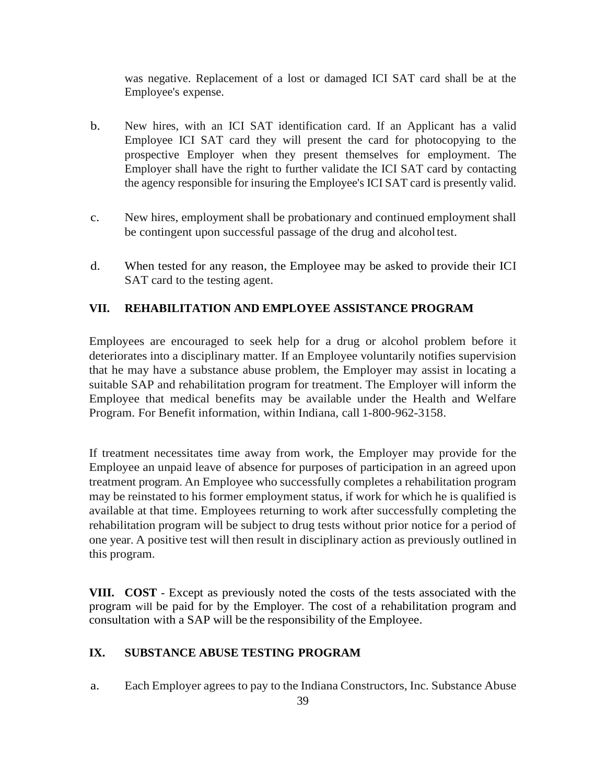was negative. Replacement of a lost or damaged ICI SAT card shall be at the Employee's expense.

- b. New hires, with an ICI SAT identification card. If an Applicant has a valid Employee ICI SAT card they will present the card for photocopying to the prospective Employer when they present themselves for employment. The Employer shall have the right to further validate the ICI SAT card by contacting the agency responsible for insuring the Employee's ICI SAT card is presently valid.
- c. New hires, employment shall be probationary and continued employment shall be contingent upon successful passage of the drug and alcoholtest.
- d. When tested for any reason, the Employee may be asked to provide their ICI SAT card to the testing agent.

# **VII. REHABILITATION AND EMPLOYEE ASSISTANCE PROGRAM**

Employees are encouraged to seek help for a drug or alcohol problem before it deteriorates into a disciplinary matter. If an Employee voluntarily notifies supervision that he may have a substance abuse problem, the Employer may assist in locating a suitable SAP and rehabilitation program for treatment. The Employer will inform the Employee that medical benefits may be available under the Health and Welfare Program. For Benefit information, within Indiana, call 1-800-962-3158.

If treatment necessitates time away from work, the Employer may provide for the Employee an unpaid leave of absence for purposes of participation in an agreed upon treatment program. An Employee who successfully completes a rehabilitation program may be reinstated to his former employment status, if work for which he is qualified is available at that time. Employees returning to work after successfully completing the rehabilitation program will be subject to drug tests without prior notice for a period of one year. A positive test will then result in disciplinary action as previously outlined in this program.

**VIII. COST** - Except as previously noted the costs of the tests associated with the program will be paid for by the Employer. The cost of a rehabilitation program and consultation with a SAP will be the responsibility of the Employee.

# **IX. SUBSTANCE ABUSE TESTING PROGRAM**

a. Each Employer agrees to pay to the Indiana Constructors, Inc. Substance Abuse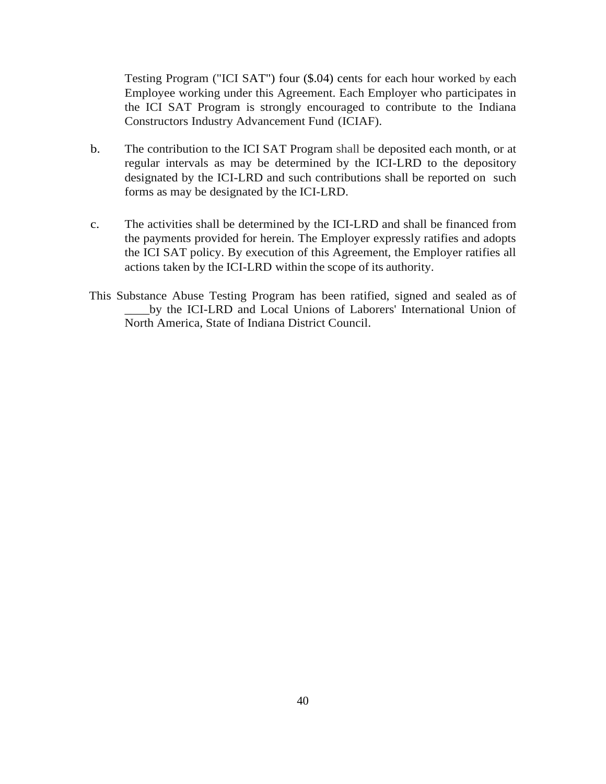Testing Program ("ICI SAT") four (\$.04) cents for each hour worked by each Employee working under this Agreement. Each Employer who participates in the ICI SAT Program is strongly encouraged to contribute to the Indiana Constructors Industry Advancement Fund (ICIAF).

- b. The contribution to the ICI SAT Program shall be deposited each month, or at regular intervals as may be determined by the ICI-LRD to the depository designated by the ICI-LRD and such contributions shall be reported on such forms as may be designated by the ICI-LRD.
- c. The activities shall be determined by the ICI-LRD and shall be financed from the payments provided for herein. The Employer expressly ratifies and adopts the ICI SAT policy. By execution of this Agreement, the Employer ratifies all actions taken by the ICI-LRD within the scope of its authority.
- This Substance Abuse Testing Program has been ratified, signed and sealed as of \_\_\_\_by the ICI-LRD and Local Unions of Laborers' International Union of North America, State of Indiana District Council.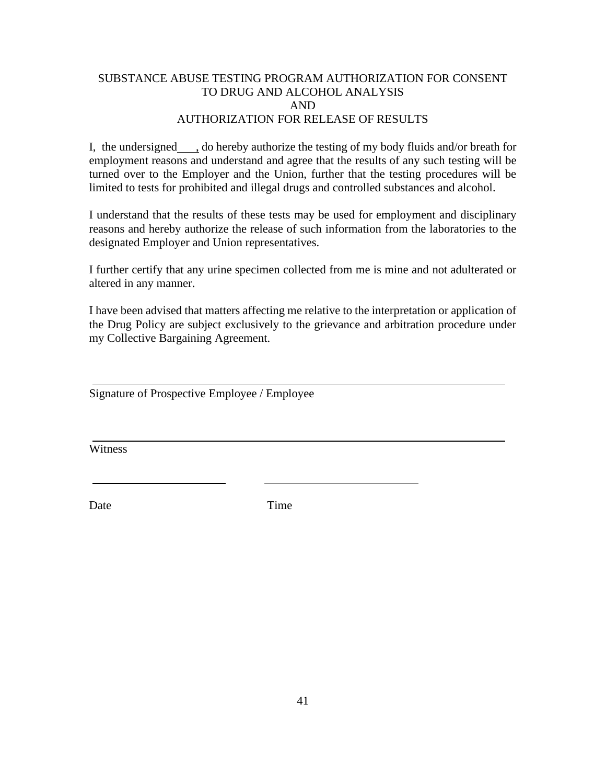## SUBSTANCE ABUSE TESTING PROGRAM AUTHORIZATION FOR CONSENT TO DRUG AND ALCOHOL ANALYSIS AND AUTHORIZATION FOR RELEASE OF RESULTS

I, the undersigned  $\Box$ , do hereby authorize the testing of my body fluids and/or breath for employment reasons and understand and agree that the results of any such testing will be turned over to the Employer and the Union, further that the testing procedures will be limited to tests for prohibited and illegal drugs and controlled substances and alcohol.

I understand that the results of these tests may be used for employment and disciplinary reasons and hereby authorize the release of such information from the laboratories to the designated Employer and Union representatives.

I further certify that any urine specimen collected from me is mine and not adulterated or altered in any manner.

I have been advised that matters affecting me relative to the interpretation or application of the Drug Policy are subject exclusively to the grievance and arbitration procedure under my Collective Bargaining Agreement.

Signature of Prospective Employee / Employee

**Witness** 

Date Time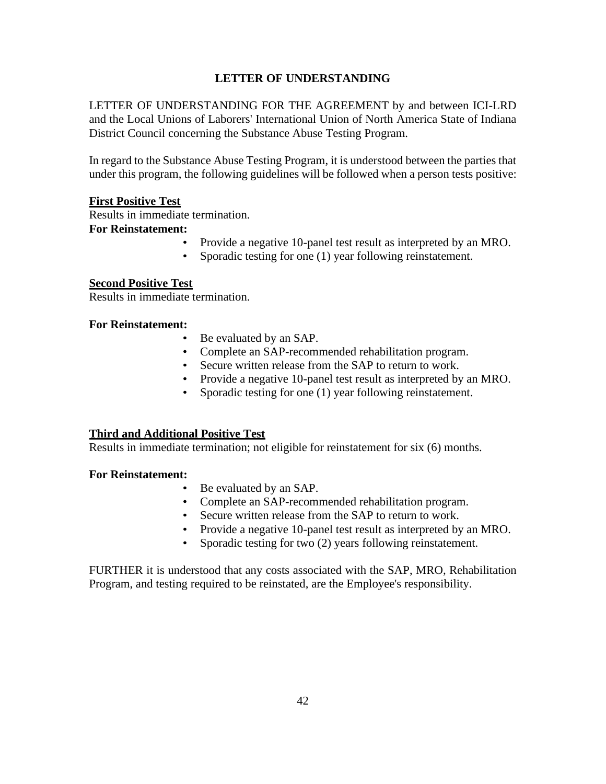# **LETTER OF UNDERSTANDING**

LETTER OF UNDERSTANDING FOR THE AGREEMENT by and between ICI-LRD and the Local Unions of Laborers' International Union of North America State of Indiana District Council concerning the Substance Abuse Testing Program.

In regard to the Substance Abuse Testing Program, it is understood between the parties that under this program, the following guidelines will be followed when a person tests positive:

## **First Positive Test**

Results in immediate termination.

## **For Reinstatement:**

- Provide a negative 10-panel test result as interpreted by an MRO.
- Sporadic testing for one (1) year following reinstatement.

## **Second Positive Test**

Results in immediate termination.

### **For Reinstatement:**

- Be evaluated by an SAP.
- Complete an SAP-recommended rehabilitation program.
- Secure written release from the SAP to return to work.
- Provide a negative 10-panel test result as interpreted by an MRO.
- Sporadic testing for one (1) year following reinstatement.

### **Third and Additional Positive Test**

Results in immediate termination; not eligible for reinstatement for six (6) months.

### **For Reinstatement:**

- Be evaluated by an SAP.
- Complete an SAP-recommended rehabilitation program.
- Secure written release from the SAP to return to work.
- Provide a negative 10-panel test result as interpreted by an MRO.
- Sporadic testing for two (2) years following reinstatement.

FURTHER it is understood that any costs associated with the SAP, MRO, Rehabilitation Program, and testing required to be reinstated, are the Employee's responsibility.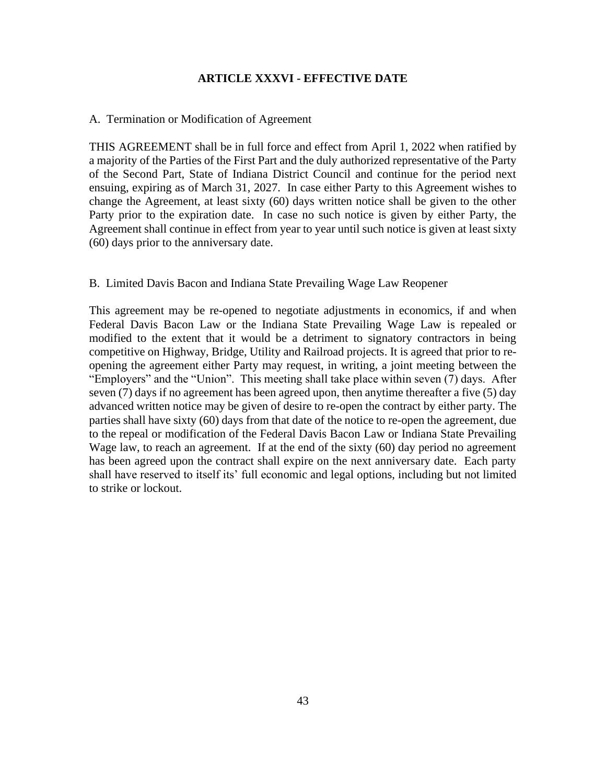## **ARTICLE XXXVI - EFFECTIVE DATE**

### <span id="page-45-0"></span>A. Termination or Modification of Agreement

THIS AGREEMENT shall be in full force and effect from April 1, 2022 when ratified by a majority of the Parties of the First Part and the duly authorized representative of the Party of the Second Part, State of Indiana District Council and continue for the period next ensuing, expiring as of March 31, 2027. In case either Party to this Agreement wishes to change the Agreement, at least sixty (60) days written notice shall be given to the other Party prior to the expiration date. In case no such notice is given by either Party, the Agreement shall continue in effect from year to year until such notice is given at least sixty (60) days prior to the anniversary date.

#### B. Limited Davis Bacon and Indiana State Prevailing Wage Law Reopener

This agreement may be re-opened to negotiate adjustments in economics, if and when Federal Davis Bacon Law or the Indiana State Prevailing Wage Law is repealed or modified to the extent that it would be a detriment to signatory contractors in being competitive on Highway, Bridge, Utility and Railroad projects. It is agreed that prior to reopening the agreement either Party may request, in writing, a joint meeting between the "Employers" and the "Union". This meeting shall take place within seven (7) days. After seven (7) days if no agreement has been agreed upon, then anytime thereafter a five (5) day advanced written notice may be given of desire to re-open the contract by either party. The parties shall have sixty (60) days from that date of the notice to re-open the agreement, due to the repeal or modification of the Federal Davis Bacon Law or Indiana State Prevailing Wage law, to reach an agreement. If at the end of the sixty (60) day period no agreement has been agreed upon the contract shall expire on the next anniversary date. Each party shall have reserved to itself its' full economic and legal options, including but not limited to strike or lockout.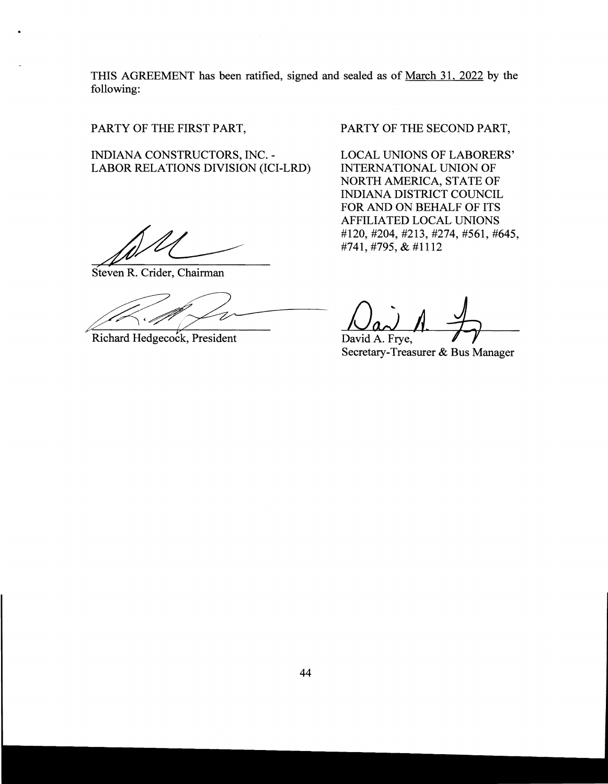THIS AGREEMENT has been ratified, signed and sealed as of March 31, 2022 by the following:

PARTY OF THE FIRST PART,

INDIANA CONSTRUCTORS, INC. LABOR RELATIONS DIVISION (ICI-LRD)

Steven R. Crider, Chairman

Steven R. Crider, Chairman<br>Richard Hedgecock, President<br>Da

PARTY OF THE SECOND PART,

LOCAL UNIONS OF LABORERS' INTERNATIONAL UNION OF NORTH AMERICA, STATE OF INDIANA DISTRICT COUNCIL FOR AND ON BEHALF OF ITS AFFILIATED LOCAL UNIONS #120,#204,#213,#274,#561,#645, #741, #795, & #1112

David A. Frye, Secretary-Treasurer & Bus Manager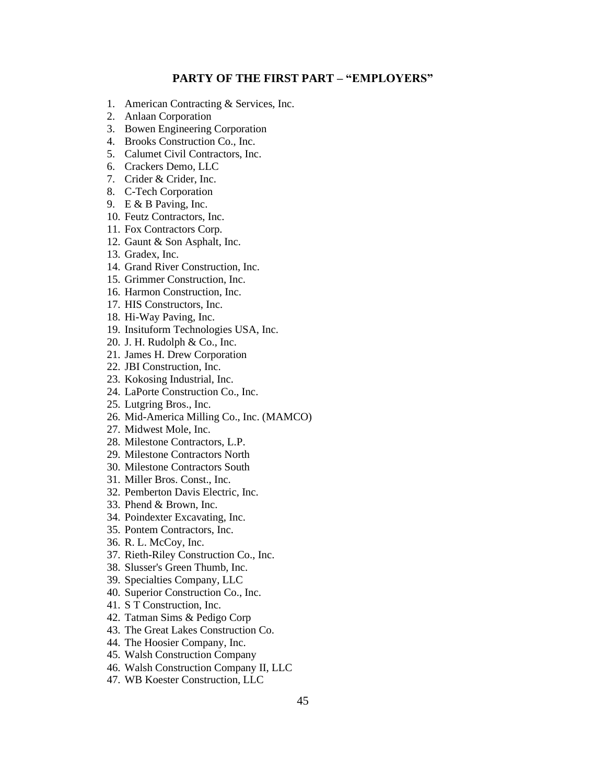#### **PARTY OF THE FIRST PART – "EMPLOYERS"**

- <span id="page-47-0"></span>1. American Contracting & Services, Inc.
- 2. Anlaan Corporation
- 3. Bowen Engineering Corporation
- 4. Brooks Construction Co., Inc.
- 5. Calumet Civil Contractors, Inc.
- 6. Crackers Demo, LLC
- 7. Crider & Crider, Inc.
- 8. C-Tech Corporation
- 9. E & B Paving, Inc.
- 10. Feutz Contractors, Inc.
- 11. Fox Contractors Corp.
- 12. Gaunt & Son Asphalt, Inc.
- 13. Gradex, Inc.
- 14. Grand River Construction, Inc.
- 15. Grimmer Construction, Inc.
- 16. Harmon Construction, Inc.
- 17. HIS Constructors, Inc.
- 18. Hi-Way Paving, Inc.
- 19. Insituform Technologies USA, Inc.
- 20. J. H. Rudolph & Co., Inc.
- 21. James H. Drew Corporation
- 22. JBI Construction, Inc.
- 23. Kokosing Industrial, Inc.
- 24. LaPorte Construction Co., Inc.
- 25. Lutgring Bros., Inc.
- 26. Mid-America Milling Co., Inc. (MAMCO)
- 27. Midwest Mole, Inc.
- 28. Milestone Contractors, L.P.
- 29. Milestone Contractors North
- 30. Milestone Contractors South
- 31. Miller Bros. Const., Inc.
- 32. Pemberton Davis Electric, Inc.
- 33. Phend & Brown, Inc.
- 34. Poindexter Excavating, Inc.
- 35. Pontem Contractors, Inc.
- 36. R. L. McCoy, Inc.
- 37. Rieth-Riley Construction Co., Inc.
- 38. Slusser's Green Thumb, Inc.
- 39. Specialties Company, LLC
- 40. Superior Construction Co., Inc.
- 41. S T Construction, Inc.
- 42. Tatman Sims & Pedigo Corp
- 43. The Great Lakes Construction Co.
- 44. The Hoosier Company, Inc.
- 45. Walsh Construction Company
- 46. Walsh Construction Company II, LLC
- 47. WB Koester Construction, LLC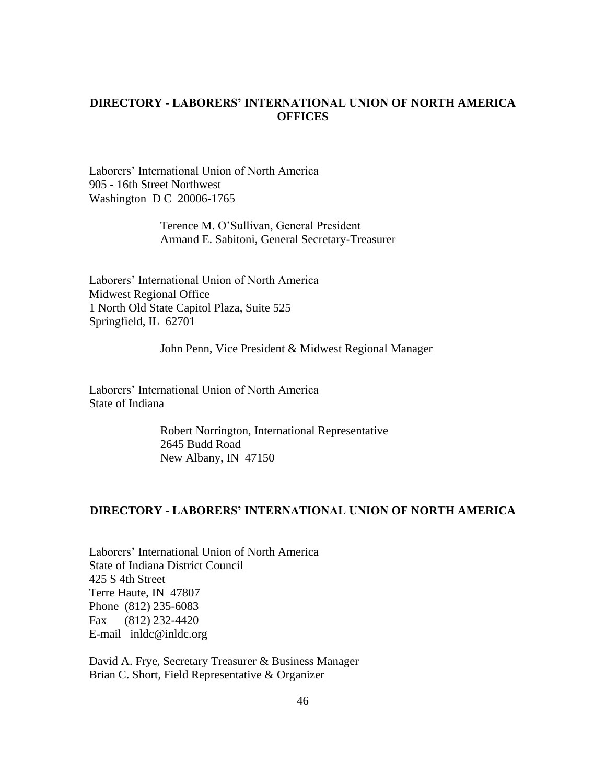## <span id="page-48-0"></span>**DIRECTORY - LABORERS' INTERNATIONAL UNION OF NORTH AMERICA OFFICES**

Laborers' International Union of North America 905 - 16th Street Northwest Washington D C 20006-1765

> Terence M. O'Sullivan, General President Armand E. Sabitoni, General Secretary-Treasurer

Laborers' International Union of North America Midwest Regional Office 1 North Old State Capitol Plaza, Suite 525 Springfield, IL 62701

John Penn, Vice President & Midwest Regional Manager

Laborers' International Union of North America State of Indiana

> Robert Norrington, International Representative 2645 Budd Road New Albany, IN 47150

#### <span id="page-48-1"></span>**DIRECTORY - LABORERS' INTERNATIONAL UNION OF NORTH AMERICA**

Laborers' International Union of North America State of Indiana District Council 425 S 4th Street Terre Haute, IN 47807 Phone (812) 235-6083 Fax (812) 232-4420 E-mail inldc@inldc.org

David A. Frye, Secretary Treasurer & Business Manager Brian C. Short, Field Representative & Organizer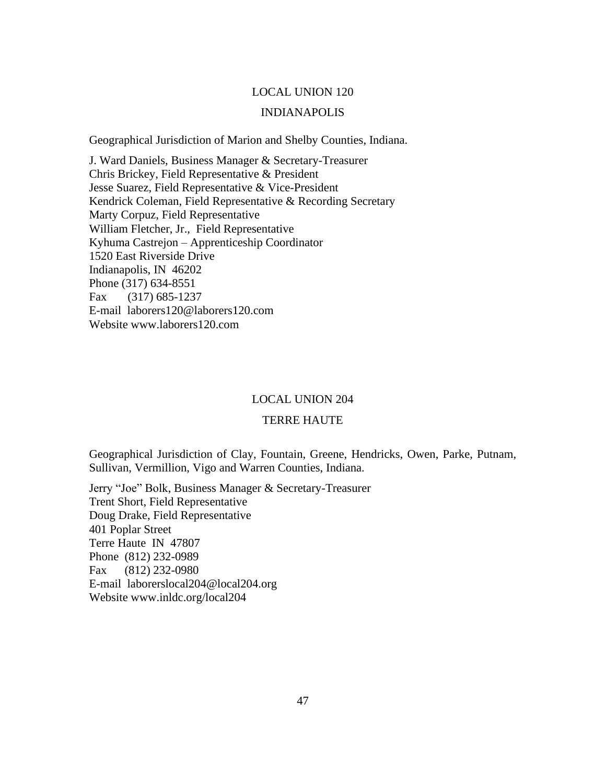#### LOCAL UNION 120

#### INDIANAPOLIS

Geographical Jurisdiction of Marion and Shelby Counties, Indiana.

J. Ward Daniels, Business Manager & Secretary-Treasurer Chris Brickey, Field Representative & President Jesse Suarez, Field Representative & Vice-President Kendrick Coleman, Field Representative & Recording Secretary Marty Corpuz, Field Representative William Fletcher, Jr., Field Representative Kyhuma Castrejon – Apprenticeship Coordinator 1520 East Riverside Drive Indianapolis, IN 46202 Phone (317) 634-8551 Fax (317) 685-1237 E-mail laborers120@laborers120.com Website www.laborers120.com

#### LOCAL UNION 204

#### TERRE HAUTE

Geographical Jurisdiction of Clay, Fountain, Greene, Hendricks, Owen, Parke, Putnam, Sullivan, Vermillion, Vigo and Warren Counties, Indiana.

Jerry "Joe" Bolk, Business Manager & Secretary-Treasurer Trent Short, Field Representative Doug Drake, Field Representative 401 Poplar Street Terre Haute IN 47807 Phone (812) 232-0989 Fax (812) 232-0980 E-mail laborerslocal204@local204.org Website www.inldc.org/local204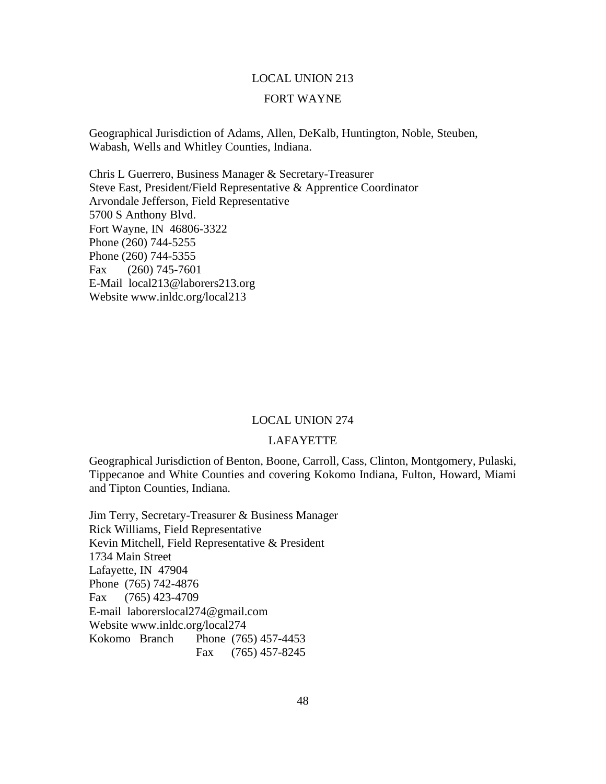# LOCAL UNION 213 FORT WAYNE

Geographical Jurisdiction of Adams, Allen, DeKalb, Huntington, Noble, Steuben, Wabash, Wells and Whitley Counties, Indiana.

Chris L Guerrero, Business Manager & Secretary-Treasurer Steve East, President/Field Representative & Apprentice Coordinator Arvondale Jefferson, Field Representative 5700 S Anthony Blvd. Fort Wayne, IN 46806-3322 Phone (260) 744-5255 Phone (260) 744-5355 Fax (260) 745-7601 E-Mail local213@laborers213.org Website www.inldc.org/local213

#### LOCAL UNION 274

## LAFAYETTE

Geographical Jurisdiction of Benton, Boone, Carroll, Cass, Clinton, Montgomery, Pulaski, Tippecanoe and White Counties and covering Kokomo Indiana, Fulton, Howard, Miami and Tipton Counties, Indiana.

Jim Terry, Secretary-Treasurer & Business Manager Rick Williams, Field Representative Kevin Mitchell, Field Representative & President 1734 Main Street Lafayette, IN 47904 Phone (765) 742-4876 Fax (765) 423-4709 E-mail laborerslocal274@gmail.com Website www.inldc.org/local274 Kokomo Branch Phone (765) 457-4453 Fax (765) 457-8245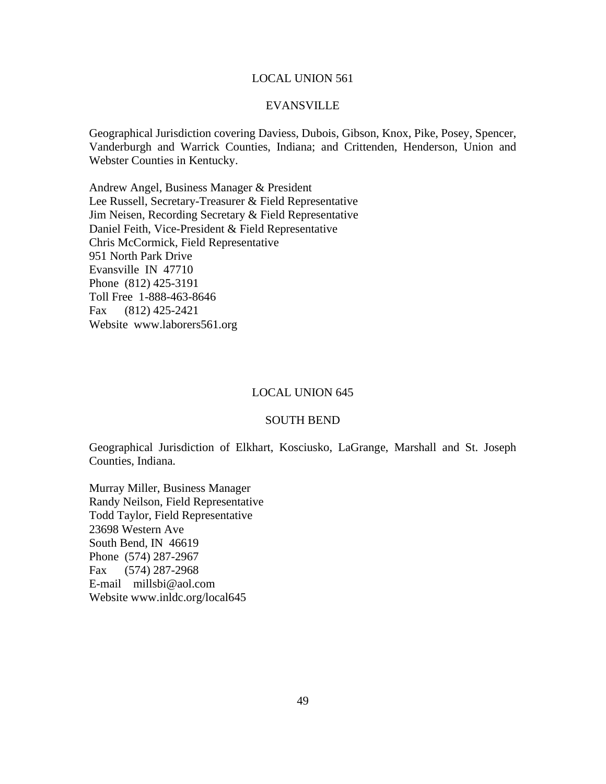#### LOCAL UNION 561

#### EVANSVILLE

Geographical Jurisdiction covering Daviess, Dubois, Gibson, Knox, Pike, Posey, Spencer, Vanderburgh and Warrick Counties, Indiana; and Crittenden, Henderson, Union and Webster Counties in Kentucky.

Andrew Angel, Business Manager & President Lee Russell, Secretary-Treasurer & Field Representative Jim Neisen, Recording Secretary & Field Representative Daniel Feith, Vice-President & Field Representative Chris McCormick, Field Representative 951 North Park Drive Evansville IN 47710 Phone (812) 425-3191 Toll Free 1-888-463-8646 Fax (812) 425-2421 Website www.laborers561.org

#### LOCAL UNION 645

### SOUTH BEND

Geographical Jurisdiction of Elkhart, Kosciusko, LaGrange, Marshall and St. Joseph Counties, Indiana.

Murray Miller, Business Manager Randy Neilson, Field Representative Todd Taylor, Field Representative 23698 Western Ave South Bend, IN 46619 Phone (574) 287-2967 Fax (574) 287-2968 E-mail millsbi@aol.com Website www.inldc.org/local645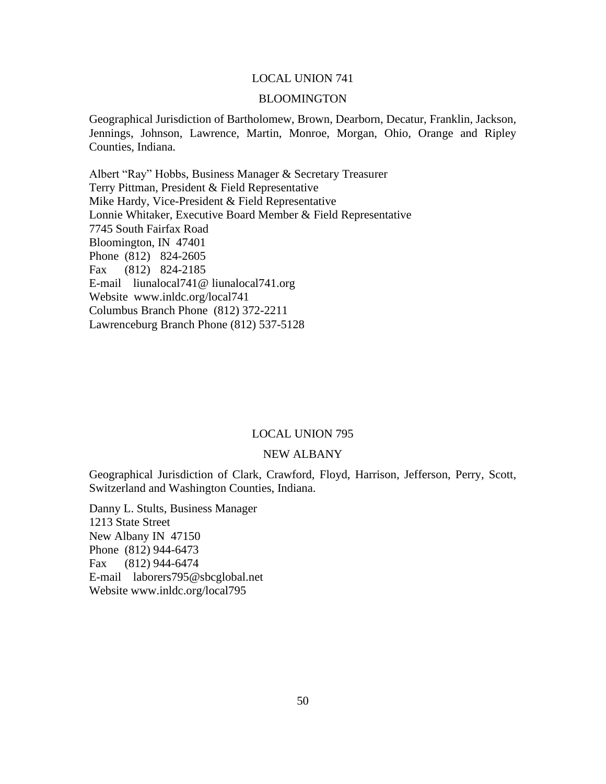### LOCAL UNION 741

#### BLOOMINGTON

Geographical Jurisdiction of Bartholomew, Brown, Dearborn, Decatur, Franklin, Jackson, Jennings, Johnson, Lawrence, Martin, Monroe, Morgan, Ohio, Orange and Ripley Counties, Indiana.

Albert "Ray" Hobbs, Business Manager & Secretary Treasurer Terry Pittman, President & Field Representative Mike Hardy, Vice-President & Field Representative Lonnie Whitaker, Executive Board Member & Field Representative 7745 South Fairfax Road Bloomington, IN 47401 Phone (812) 824-2605 Fax (812) 824-2185 E-mail liunalocal741@ liunalocal741.org Website www.inldc.org/local741 Columbus Branch Phone (812) 372-2211 Lawrenceburg Branch Phone (812) 537-5128

#### LOCAL UNION 795

#### NEW ALBANY

Geographical Jurisdiction of Clark, Crawford, Floyd, Harrison, Jefferson, Perry, Scott, Switzerland and Washington Counties, Indiana.

Danny L. Stults, Business Manager 1213 State Street New Albany IN 47150 Phone (812) 944-6473 Fax (812) 944-6474 E-mail laborers795@sbcglobal.net Website www.inldc.org/local795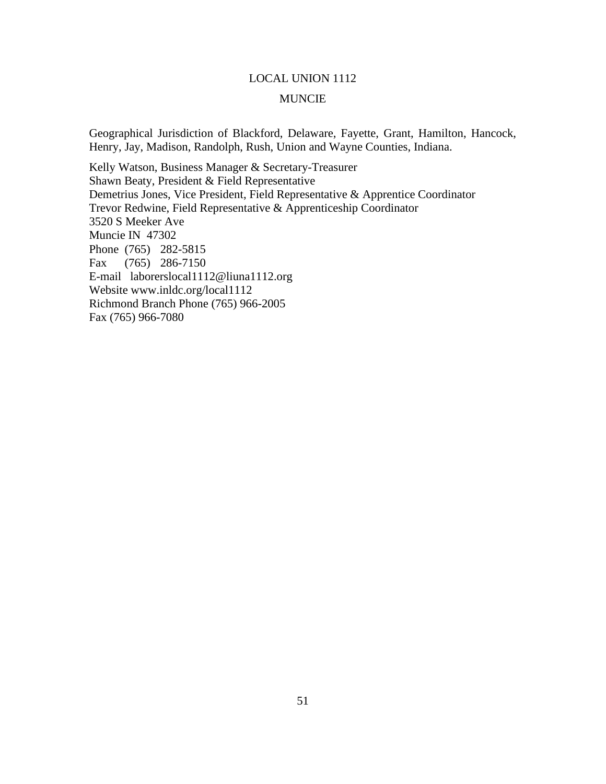# LOCAL UNION 1112 MUNCIE

Geographical Jurisdiction of Blackford, Delaware, Fayette, Grant, Hamilton, Hancock, Henry, Jay, Madison, Randolph, Rush, Union and Wayne Counties, Indiana.

Kelly Watson, Business Manager & Secretary-Treasurer Shawn Beaty, President & Field Representative Demetrius Jones, Vice President, Field Representative & Apprentice Coordinator Trevor Redwine, Field Representative & Apprenticeship Coordinator 3520 S Meeker Ave Muncie IN 47302 Phone (765) 282-5815 Fax (765) 286-7150 E-mail laborerslocal1112@liuna1112.org Website www.inldc.org/local1112 Richmond Branch Phone (765) 966-2005 Fax (765) 966-7080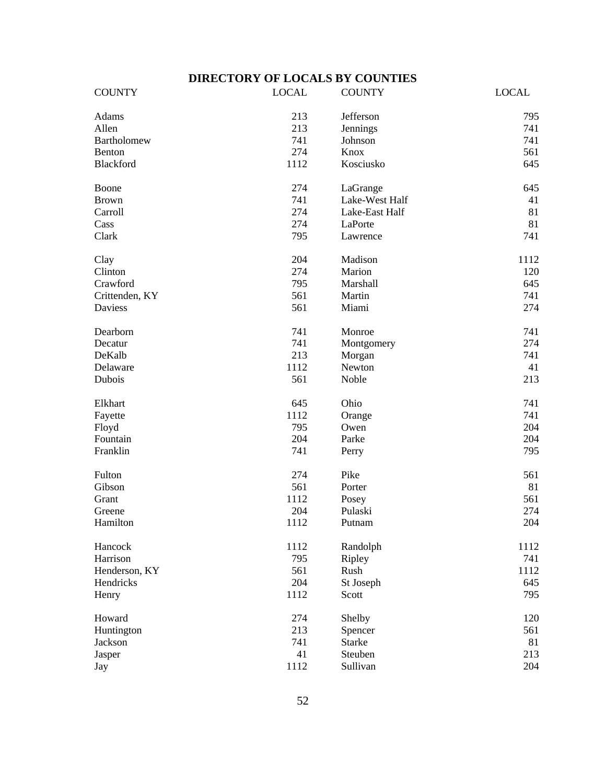# **DIRECTORY OF LOCALS BY COUNTIES**

<span id="page-54-0"></span>

| <b>COUNTY</b>      | <b>LOCAL</b> | <b>COUNTY</b>  | <b>LOCAL</b> |
|--------------------|--------------|----------------|--------------|
| Adams              | 213          | Jefferson      | 795          |
| Allen              | 213          | Jennings       | 741          |
| <b>Bartholomew</b> | 741          | Johnson        | 741          |
| Benton             | 274          | Knox           | 561          |
| Blackford          | 1112         | Kosciusko      | 645          |
| Boone              | 274          | LaGrange       | 645          |
| <b>Brown</b>       | 741          | Lake-West Half | 41           |
| Carroll            | 274          | Lake-East Half | 81           |
| Cass               | 274          | LaPorte        | 81           |
| Clark              | 795          | Lawrence       | 741          |
| Clay               | 204          | Madison        | 1112         |
| Clinton            | 274          | Marion         | 120          |
| Crawford           | 795          | Marshall       | 645          |
| Crittenden, KY     | 561          | Martin         | 741          |
| <b>Daviess</b>     | 561          | Miami          | 274          |
| Dearborn           | 741          | Monroe         | 741          |
| Decatur            | 741          | Montgomery     | 274          |
| DeKalb             | 213          | Morgan         | 741          |
| Delaware           | 1112         | Newton         | 41           |
| Dubois             | 561          | Noble          | 213          |
| Elkhart            | 645          | Ohio           | 741          |
| Fayette            | 1112         | Orange         | 741          |
| Floyd              | 795          | Owen           | 204          |
| Fountain           | 204          | Parke          | 204          |
| Franklin           | 741          | Perry          | 795          |
| Fulton             | 274          | Pike           | 561          |
| Gibson             | 561          | Porter         | 81           |
| Grant              | 1112         | Posey          | 561          |
| Greene             | 204          | Pulaski        | 274          |
| Hamilton           | 1112         | Putnam         | 204          |
| Hancock            | 1112         | Randolph       | 1112         |
| Harrison           | 795          | Ripley         | 741          |
| Henderson, KY      | 561          | Rush           | 1112         |
| Hendricks          | 204          | St Joseph      | 645          |
| Henry              | 1112         | Scott          | 795          |
| Howard             | 274          | Shelby         | 120          |
| Huntington         | 213          | Spencer        | 561          |
| Jackson            | 741          | <b>Starke</b>  | 81           |
| Jasper             | 41           | Steuben        | 213          |
| Jay                | 1112         | Sullivan       | 204          |